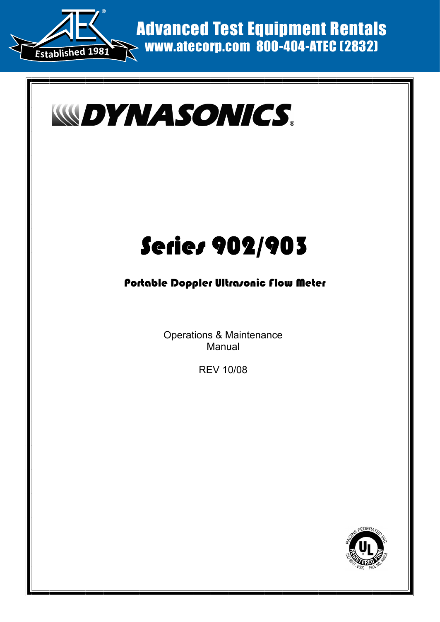



# Series 902/903

### Portable Doppler Ultrasonic Flow Meter

Operations & Maintenance Manual

REV 10/08

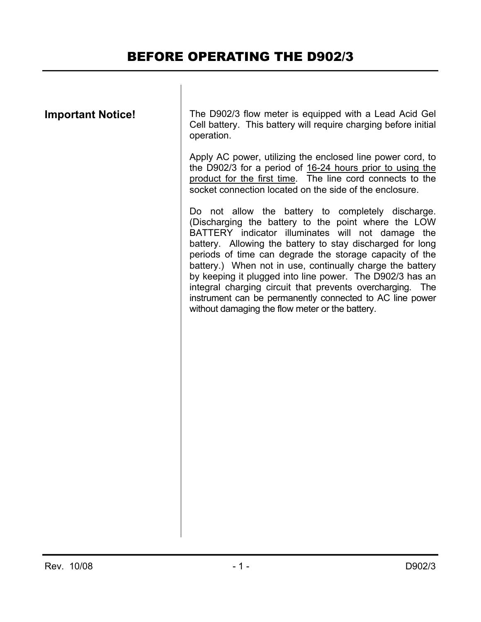| <b>Important Notice!</b> |  |
|--------------------------|--|
|--------------------------|--|

The D902/3 flow meter is equipped with a Lead Acid Gel Cell battery. This battery will require charging before initial operation.

Apply AC power, utilizing the enclosed line power cord, to the D902/3 for a period of 16-24 hours prior to using the product for the first time. The line cord connects to the socket connection located on the side of the enclosure.

Do not allow the battery to completely discharge. (Discharging the battery to the point where the LOW BATTERY indicator illuminates will not damage the battery. Allowing the battery to stay discharged for long periods of time can degrade the storage capacity of the battery.) When not in use, continually charge the battery by keeping it plugged into line power. The D902/3 has an integral charging circuit that prevents overcharging. The instrument can be permanently connected to AC line power without damaging the flow meter or the battery.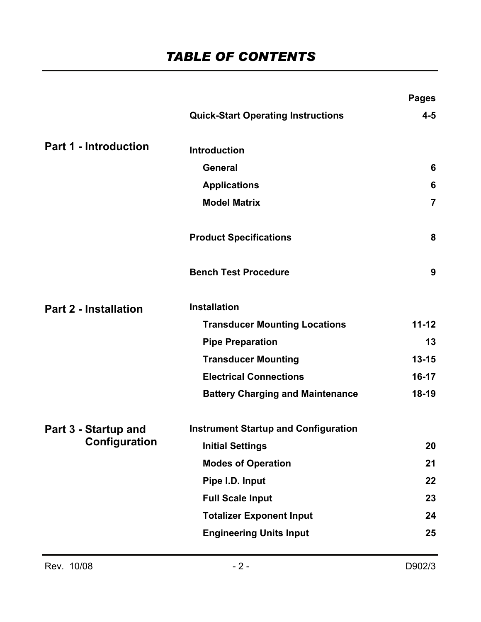### *TABLE OF CONTENTS*

|                              |                                             | <b>Pages</b>   |
|------------------------------|---------------------------------------------|----------------|
|                              | <b>Quick-Start Operating Instructions</b>   | $4 - 5$        |
| <b>Part 1 - Introduction</b> | <b>Introduction</b>                         |                |
|                              | <b>General</b>                              | 6              |
|                              | <b>Applications</b>                         | 6              |
|                              | <b>Model Matrix</b>                         | $\overline{7}$ |
|                              | <b>Product Specifications</b>               | 8              |
|                              | <b>Bench Test Procedure</b>                 | 9              |
| <b>Part 2 - Installation</b> | <b>Installation</b>                         |                |
|                              | <b>Transducer Mounting Locations</b>        | $11 - 12$      |
|                              | <b>Pipe Preparation</b>                     | 13             |
|                              | <b>Transducer Mounting</b>                  | $13 - 15$      |
|                              | <b>Electrical Connections</b>               | $16-17$        |
|                              | <b>Battery Charging and Maintenance</b>     | $18-19$        |
| Part 3 - Startup and         | <b>Instrument Startup and Configuration</b> |                |
| Configuration                | <b>Initial Settings</b>                     | 20             |
|                              | <b>Modes of Operation</b>                   | 21             |
|                              | Pipe I.D. Input                             | 22             |
|                              | <b>Full Scale Input</b>                     | 23             |
|                              | <b>Totalizer Exponent Input</b>             | 24             |
|                              | <b>Engineering Units Input</b>              | 25             |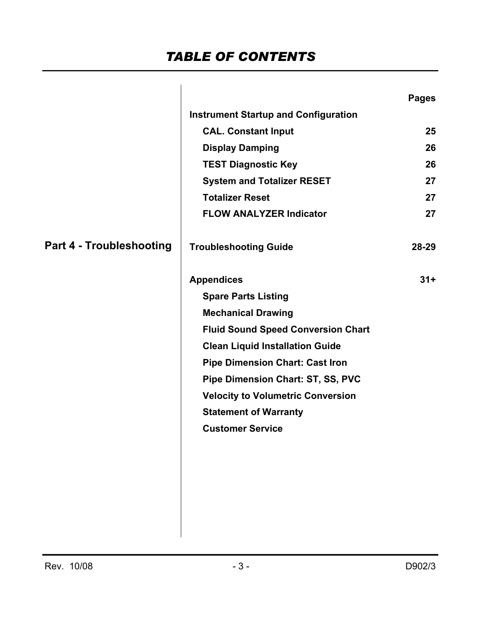|                                 |                                             | <b>Pages</b> |
|---------------------------------|---------------------------------------------|--------------|
|                                 | <b>Instrument Startup and Configuration</b> |              |
|                                 | <b>CAL. Constant Input</b>                  | 25           |
|                                 | <b>Display Damping</b>                      | 26           |
|                                 | <b>TEST Diagnostic Key</b>                  | 26           |
|                                 | <b>System and Totalizer RESET</b>           | 27           |
|                                 | <b>Totalizer Reset</b>                      | 27           |
|                                 | <b>FLOW ANALYZER Indicator</b>              | 27           |
| <b>Part 4 - Troubleshooting</b> | <b>Troubleshooting Guide</b>                | $28 - 29$    |
|                                 | <b>Appendices</b>                           | $31 +$       |
|                                 | <b>Spare Parts Listing</b>                  |              |
|                                 | <b>Mechanical Drawing</b>                   |              |
|                                 | <b>Fluid Sound Speed Conversion Chart</b>   |              |
|                                 | <b>Clean Liquid Installation Guide</b>      |              |
|                                 | <b>Pipe Dimension Chart: Cast Iron</b>      |              |
|                                 | Pipe Dimension Chart: ST, SS, PVC           |              |
|                                 | <b>Velocity to Volumetric Conversion</b>    |              |
|                                 | <b>Statement of Warranty</b>                |              |
|                                 | <b>Customer Service</b>                     |              |
|                                 |                                             |              |
|                                 |                                             |              |
|                                 |                                             |              |
|                                 |                                             |              |
|                                 |                                             |              |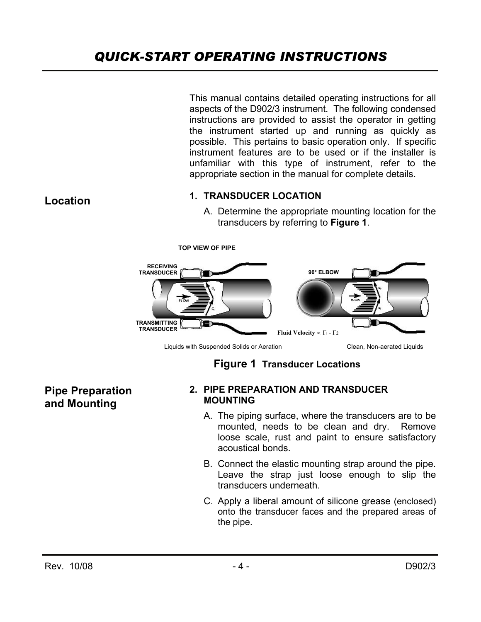### *QUICK-START OPERATING INSTRUCTIONS*

This manual contains detailed operating instructions for all aspects of the D902/3 instrument. The following condensed instructions are provided to assist the operator in getting the instrument started up and running as quickly as possible. This pertains to basic operation only. If specific instrument features are to be used or if the installer is unfamiliar with this type of instrument, refer to the appropriate section in the manual for complete details.

#### **1. TRANSDUCER LOCATION**

A. Determine the appropriate mounting location for the transducers by referring to **Figure 1**.



Liquids with Suspended Solids or Aeration Clean, Non-aerated Liquids

**TOP VIEW OF PIPE** 

### **Figure 1 Transducer Locations**

**Pipe Preparation and Mounting** 

**Location** 

#### **2. PIPE PREPARATION AND TRANSDUCER MOUNTING**

- A. The piping surface, where the transducers are to be mounted, needs to be clean and dry. Remove loose scale, rust and paint to ensure satisfactory acoustical bonds.
- B. Connect the elastic mounting strap around the pipe. Leave the strap just loose enough to slip the transducers underneath.
- C. Apply a liberal amount of silicone grease (enclosed) onto the transducer faces and the prepared areas of the pipe.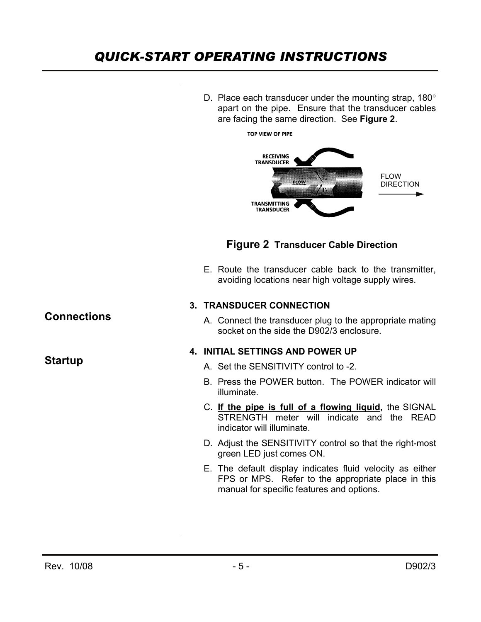### *QUICK-START OPERATING INSTRUCTIONS*

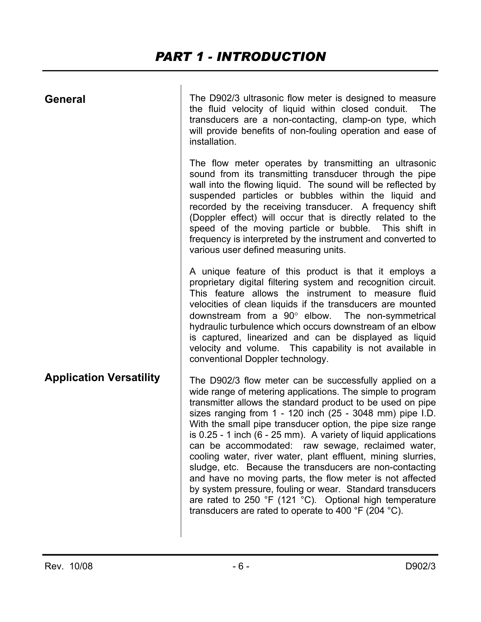| <b>General</b>                 | The D902/3 ultrasonic flow meter is designed to measure<br>the fluid velocity of liquid within closed conduit.<br>The<br>transducers are a non-contacting, clamp-on type, which<br>will provide benefits of non-fouling operation and ease of<br>installation.                                                                                                                                                                                                                                                                                                                                                                                                                                                                                                                                                                 |  |
|--------------------------------|--------------------------------------------------------------------------------------------------------------------------------------------------------------------------------------------------------------------------------------------------------------------------------------------------------------------------------------------------------------------------------------------------------------------------------------------------------------------------------------------------------------------------------------------------------------------------------------------------------------------------------------------------------------------------------------------------------------------------------------------------------------------------------------------------------------------------------|--|
|                                | The flow meter operates by transmitting an ultrasonic<br>sound from its transmitting transducer through the pipe<br>wall into the flowing liquid. The sound will be reflected by<br>suspended particles or bubbles within the liquid and<br>recorded by the receiving transducer. A frequency shift<br>(Doppler effect) will occur that is directly related to the<br>speed of the moving particle or bubble. This shift in<br>frequency is interpreted by the instrument and converted to<br>various user defined measuring units.                                                                                                                                                                                                                                                                                            |  |
|                                | A unique feature of this product is that it employs a<br>proprietary digital filtering system and recognition circuit.<br>This feature allows the instrument to measure fluid<br>velocities of clean liquids if the transducers are mounted<br>downstream from a $90^\circ$ elbow. The non-symmetrical<br>hydraulic turbulence which occurs downstream of an elbow<br>is captured, linearized and can be displayed as liquid<br>velocity and volume. This capability is not available in<br>conventional Doppler technology.                                                                                                                                                                                                                                                                                                   |  |
| <b>Application Versatility</b> | The D902/3 flow meter can be successfully applied on a<br>wide range of metering applications. The simple to program<br>transmitter allows the standard product to be used on pipe<br>sizes ranging from $1 - 120$ inch (25 - 3048 mm) pipe I.D.<br>With the small pipe transducer option, the pipe size range<br>is 0.25 - 1 inch (6 - 25 mm). A variety of liquid applications<br>can be accommodated: raw sewage, reclaimed water,<br>cooling water, river water, plant effluent, mining slurries,<br>sludge, etc. Because the transducers are non-contacting<br>and have no moving parts, the flow meter is not affected<br>by system pressure, fouling or wear. Standard transducers<br>are rated to 250 °F (121 °C). Optional high temperature<br>transducers are rated to operate to 400 $\degree$ F (204 $\degree$ C). |  |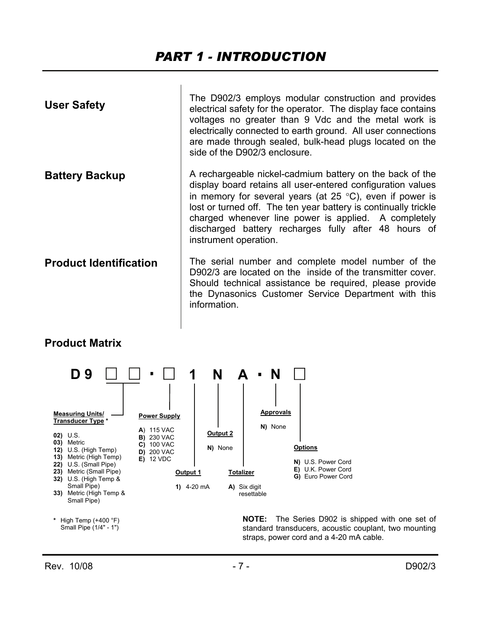### *PART 1 - INTRODUCTION*

| <b>User Safety</b>            | The D902/3 employs modular construction and provides<br>electrical safety for the operator. The display face contains<br>voltages no greater than 9 Vdc and the metal work is<br>electrically connected to earth ground. All user connections<br>are made through sealed, bulk-head plugs located on the<br>side of the D902/3 enclosure.                                                                 |
|-------------------------------|-----------------------------------------------------------------------------------------------------------------------------------------------------------------------------------------------------------------------------------------------------------------------------------------------------------------------------------------------------------------------------------------------------------|
| <b>Battery Backup</b>         | A rechargeable nickel-cadmium battery on the back of the<br>display board retains all user-entered configuration values<br>in memory for several years (at $25 \degree C$ ), even if power is<br>lost or turned off. The ten year battery is continually trickle<br>charged whenever line power is applied. A completely<br>discharged battery recharges fully after 48 hours of<br>instrument operation. |
| <b>Product Identification</b> | The serial number and complete model number of the<br>D902/3 are located on the inside of the transmitter cover.<br>Should technical assistance be required, please provide<br>the Dynasonics Customer Service Department with this<br>information.                                                                                                                                                       |

#### **Product Matrix**



**NOTE:** The Series D902 is shipped with one set of standard transducers, acoustic couplant, two mounting straps, power cord and a 4-20 mA cable.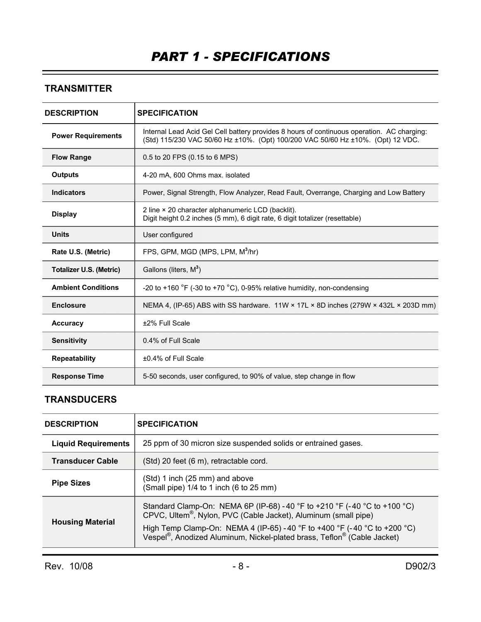### **TRANSMITTER**

| <b>DESCRIPTION</b>             | <b>SPECIFICATION</b>                                                                                                                                                          |
|--------------------------------|-------------------------------------------------------------------------------------------------------------------------------------------------------------------------------|
| <b>Power Requirements</b>      | Internal Lead Acid Gel Cell battery provides 8 hours of continuous operation. AC charging:<br>(Std) 115/230 VAC 50/60 Hz ±10%. (Opt) 100/200 VAC 50/60 Hz ±10%. (Opt) 12 VDC. |
| <b>Flow Range</b>              | 0.5 to 20 FPS (0.15 to 6 MPS)                                                                                                                                                 |
| <b>Outputs</b>                 | 4-20 mA, 600 Ohms max. isolated                                                                                                                                               |
| <b>Indicators</b>              | Power, Signal Strength, Flow Analyzer, Read Fault, Overrange, Charging and Low Battery                                                                                        |
| <b>Display</b>                 | 2 line × 20 character alphanumeric LCD (backlit).<br>Digit height 0.2 inches (5 mm), 6 digit rate, 6 digit totalizer (resettable)                                             |
| <b>Units</b>                   | User configured                                                                                                                                                               |
| Rate U.S. (Metric)             | FPS, GPM, MGD (MPS, LPM, M <sup>3</sup> /hr)                                                                                                                                  |
| <b>Totalizer U.S. (Metric)</b> | Gallons (liters, M <sup>3</sup> )                                                                                                                                             |
| <b>Ambient Conditions</b>      | -20 to +160 $\degree$ F (-30 to +70 $\degree$ C), 0-95% relative humidity, non-condensing                                                                                     |
| <b>Enclosure</b>               | NEMA 4, (IP-65) ABS with SS hardware. 11W × 17L × 8D inches (279W × 432L × 203D mm)                                                                                           |
| <b>Accuracy</b>                | ±2% Full Scale                                                                                                                                                                |
| <b>Sensitivity</b>             | 0.4% of Full Scale                                                                                                                                                            |
| <b>Repeatability</b>           | ±0.4% of Full Scale                                                                                                                                                           |
| <b>Response Time</b>           | 5-50 seconds, user configured, to 90% of value, step change in flow                                                                                                           |

#### **TRANSDUCERS**

| <b>DESCRIPTION</b>         | <b>SPECIFICATION</b>                                                                                                                                                                                                                 |
|----------------------------|--------------------------------------------------------------------------------------------------------------------------------------------------------------------------------------------------------------------------------------|
| <b>Liquid Requirements</b> | 25 ppm of 30 micron size suspended solids or entrained gases.                                                                                                                                                                        |
| <b>Transducer Cable</b>    | (Std) 20 feet (6 m), retractable cord.                                                                                                                                                                                               |
| <b>Pipe Sizes</b>          | (Std) 1 inch (25 mm) and above<br>(Small pipe) 1/4 to 1 inch (6 to 25 mm)                                                                                                                                                            |
| <b>Housing Material</b>    | Standard Clamp-On: NEMA 6P (IP-68) -40 °F to +210 °F (-40 °C to +100 °C)<br>CPVC, Ultem <sup>®</sup> , Nylon, PVC (Cable Jacket), Aluminum (small pipe)<br>High Temp Clamp-On: NEMA 4 (IP-65) - 40 °F to +400 °F (-40 °C to +200 °C) |
|                            | Vespel <sup>®</sup> , Anodized Aluminum, Nickel-plated brass, Teflon <sup>®</sup> (Cable Jacket)                                                                                                                                     |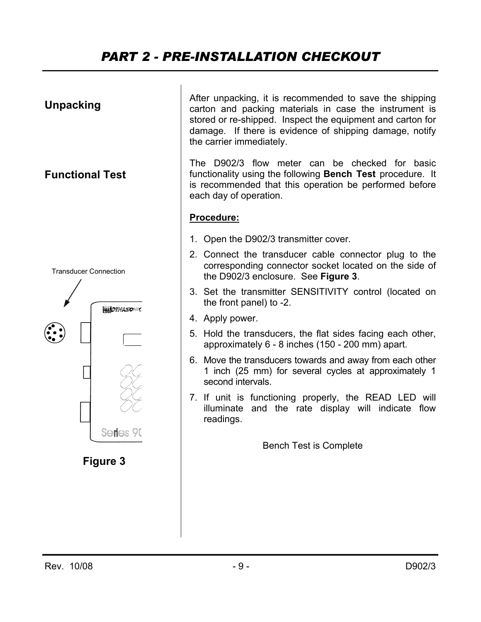### *PART 2 - PRE-INSTALLATION CHECKOUT*

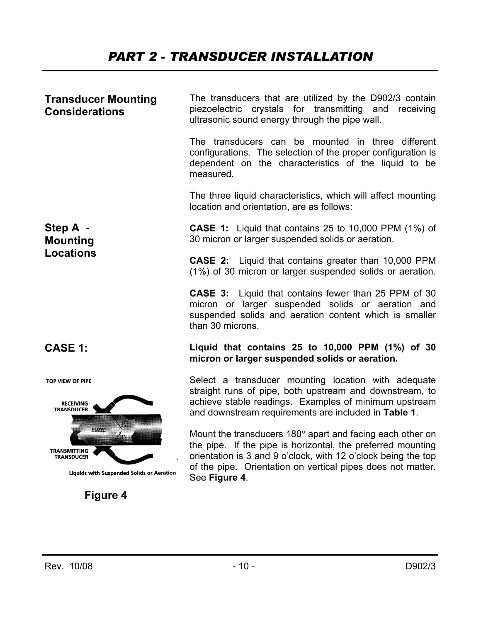### *PART 2 - TRANSDUCER INSTALLATION*

| <b>Transducer Mounting</b><br><b>Considerations</b>                                                  | The transducers that are utilized by the D902/3 contain<br>piezoelectric crystals for transmitting and receiving<br>ultrasonic sound energy through the pipe wall.                                                                                                               |  |  |
|------------------------------------------------------------------------------------------------------|----------------------------------------------------------------------------------------------------------------------------------------------------------------------------------------------------------------------------------------------------------------------------------|--|--|
|                                                                                                      | The transducers can be mounted in three different<br>configurations. The selection of the proper configuration is<br>dependent on the characteristics of the liquid to be<br>measured.                                                                                           |  |  |
|                                                                                                      | The three liquid characteristics, which will affect mounting<br>location and orientation, are as follows:                                                                                                                                                                        |  |  |
| Step A -<br><b>Mounting</b>                                                                          | <b>CASE 1:</b> Liquid that contains 25 to 10,000 PPM $(1\%)$ of<br>30 micron or larger suspended solids or aeration.                                                                                                                                                             |  |  |
| <b>Locations</b>                                                                                     | <b>CASE 2:</b> Liquid that contains greater than 10,000 PPM<br>(1%) of 30 micron or larger suspended solids or aeration.                                                                                                                                                         |  |  |
|                                                                                                      | <b>CASE 3:</b> Liquid that contains fewer than 25 PPM of 30<br>micron or larger suspended solids or aeration and<br>suspended solids and aeration content which is smaller<br>than 30 microns.                                                                                   |  |  |
| <b>CASE 1:</b>                                                                                       | Liquid that contains 25 to 10,000 PPM $(1%)$ of 30<br>micron or larger suspended solids or aeration.                                                                                                                                                                             |  |  |
| TOP VIEW OF PIPE<br><b>RECEIVING</b><br><b>TRANSDUCER</b>                                            | Select a transducer mounting location with adequate<br>straight runs of pipe, both upstream and downstream, to<br>achieve stable readings. Examples of minimum upstream<br>and downstream requirements are included in Table 1.                                                  |  |  |
| <b>PLOW</b><br>TRANSMITTING<br><b>TRANSDUCER</b><br><b>Liquids with Suspended Solids or Aeration</b> | Mount the transducers $180^\circ$ apart and facing each other on<br>the pipe. If the pipe is horizontal, the preferred mounting<br>orientation is 3 and 9 o'clock, with 12 o'clock being the top<br>of the pipe. Orientation on vertical pipes does not matter.<br>See Figure 4. |  |  |
| <b>Figure 4</b>                                                                                      |                                                                                                                                                                                                                                                                                  |  |  |
|                                                                                                      |                                                                                                                                                                                                                                                                                  |  |  |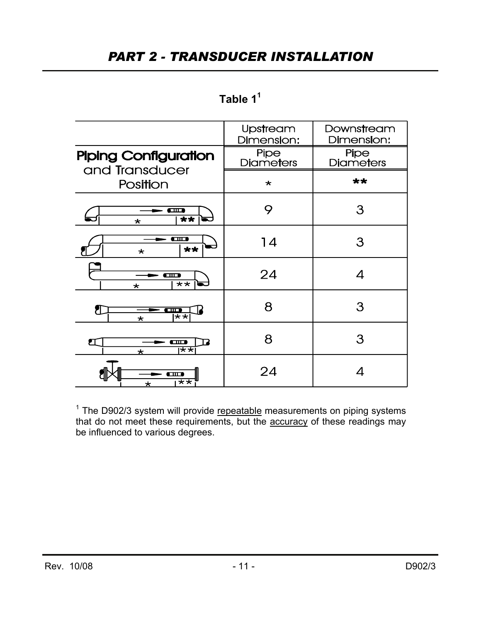### *PART 2 - TRANSDUCER INSTALLATION*

| Table |  |
|-------|--|
|       |  |

|                                                                  | Upstream<br>Dimension:          | Downstream<br>Dimension:        |  |
|------------------------------------------------------------------|---------------------------------|---------------------------------|--|
| <b>Piping Configuration</b><br>and Transducer                    | <b>Pipe</b><br><b>Diameters</b> | <b>Pipe</b><br><b>Diameters</b> |  |
| Position                                                         | $\star$                         | **                              |  |
| œ<br>**<br>$\star$                                               | 9                               | З                               |  |
| $\overline{\phantom{a}}$<br>$**$<br>$\star$                      | 14                              | З                               |  |
| - <b>a</b> b<br>$\overline{\bf x}$<br>$\star$                    | 24                              | 4                               |  |
| $\overline{\phantom{a}}$<br>$\overline{\star\star}$<br>$\star$   | 8                               | 3                               |  |
| ↗<br>$\bullet$ m $\bullet$<br>$\overline{\star\star}$<br>$\star$ | 8                               | 3                               |  |
| ПП<br>$\overline{**}$<br>$\star$                                 | 24                              | 4                               |  |

<sup>1</sup> The D902/3 system will provide repeatable measurements on piping systems that do not meet these requirements, but the **accuracy** of these readings may be influenced to various degrees.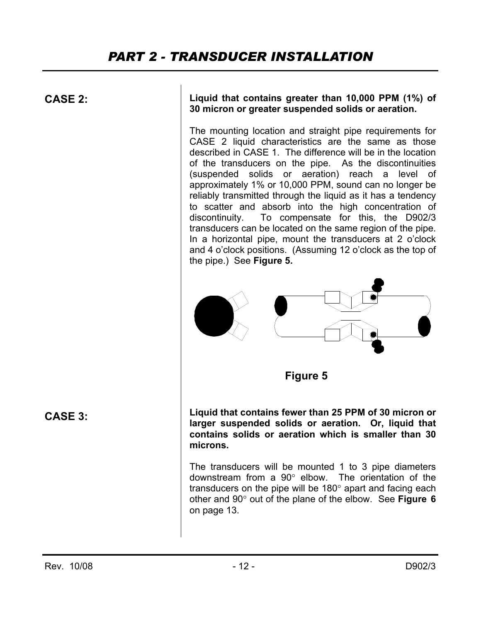**CASE 2:** 

**Liquid that contains greater than 10,000 PPM (1%) of 30 micron or greater suspended solids or aeration.**

The mounting location and straight pipe requirements for CASE 2 liquid characteristics are the same as those described in CASE 1. The difference will be in the location of the transducers on the pipe. As the discontinuities (suspended solids or aeration) reach a level of approximately 1% or 10,000 PPM, sound can no longer be reliably transmitted through the liquid as it has a tendency to scatter and absorb into the high concentration of discontinuity. To compensate for this, the D902/3 transducers can be located on the same region of the pipe. In a horizontal pipe, mount the transducers at 2 o'clock and 4 o'clock positions. (Assuming 12 o'clock as the top of the pipe.) See **Figure 5.**



**Figure 5** 

**Liquid that contains fewer than 25 PPM of 30 micron or larger suspended solids or aeration. Or, liquid that contains solids or aeration which is smaller than 30 microns.** 

The transducers will be mounted 1 to 3 pipe diameters downstream from a 90° elbow. The orientation of the transducers on the pipe will be 180° apart and facing each other and 90° out of the plane of the elbow. See **Figure 6**  on page 13.

**CASE 3:**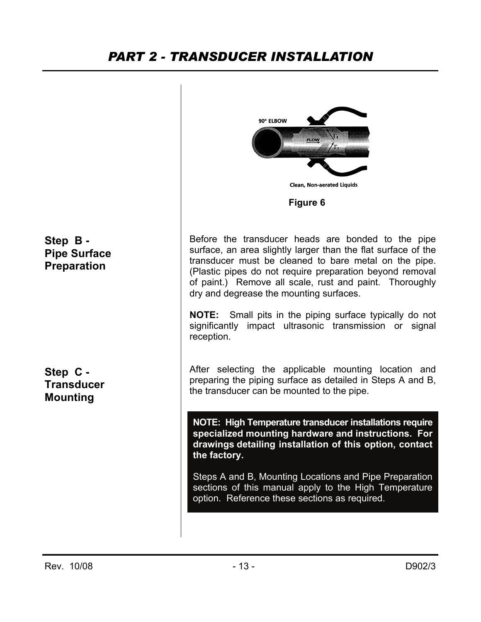### *PART 2 - TRANSDUCER INSTALLATION*

90° ELBOW **Clean, Non-aerated Liquids Figure 6Step B -**  Before the transducer heads are bonded to the pipe surface, an area slightly larger than the flat surface of the **Pipe Surface**  transducer must be cleaned to bare metal on the pipe. **Preparation** (Plastic pipes do not require preparation beyond removal of paint.) Remove all scale, rust and paint. Thoroughly dry and degrease the mounting surfaces. **NOTE:** Small pits in the piping surface typically do not significantly impact ultrasonic transmission or signal reception. After selecting the applicable mounting location and **Step C**  preparing the piping surface as detailed in Steps A and B, **Transducer**  the transducer can be mounted to the pipe. **Mounting NOTE: High Temperature transducer installations require specialized mounting hardware and instructions. For drawings detailing installation of this option, contact the factory.**  Steps A and B, Mounting Locations and Pipe Preparation sections of this manual apply to the High Temperature option. Reference these sections as required.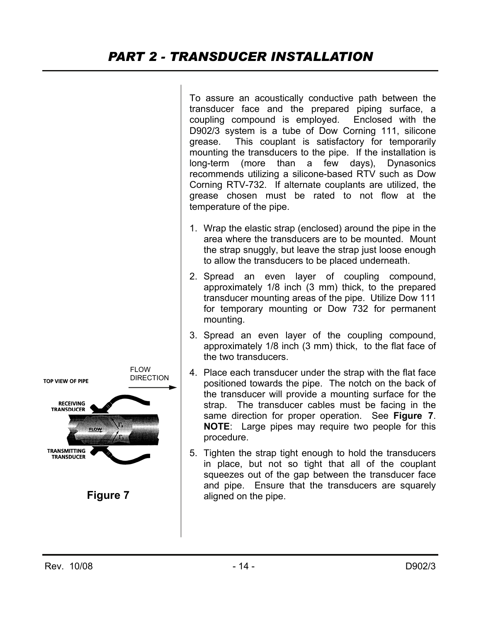To assure an acoustically conductive path between the transducer face and the prepared piping surface, a coupling compound is employed. Enclosed with the D902/3 system is a tube of Dow Corning 111, silicone grease. This couplant is satisfactory for temporarily mounting the transducers to the pipe. If the installation is long-term (more than a few days), Dynasonics recommends utilizing a silicone-based RTV such as Dow Corning RTV-732. If alternate couplants are utilized, the grease chosen must be rated to not flow at the temperature of the pipe. 1. Wrap the elastic strap (enclosed) around the pipe in the area where the transducers are to be mounted. Mount the strap snuggly, but leave the strap just loose enough to allow the transducers to be placed underneath. 2. Spread an even layer of coupling compound, approximately 1/8 inch (3 mm) thick, to the prepared transducer mounting areas of the pipe. Utilize Dow 111 for temporary mounting or Dow 732 for permanent mounting. 3. Spread an even layer of the coupling compound, approximately 1/8 inch (3 mm) thick, to the flat face of the two transducers. **FLOW** 4. Place each transducer under the strap with the flat face DIRECTION **TOP VIEW OF PIPE** positioned towards the pipe. The notch on the back of the transducer will provide a mounting surface for the **RECEIVING** strap. The transducer cables must be facing in the **TRANSDUCER** same direction for proper operation. See **Figure 7**. **NOTE**: Large pipes may require two people for this nov procedure. **TRANSMITTING** 5. Tighten the strap tight enough to hold the transducers **TRANSDUCER** in place, but not so tight that all of the couplant squeezes out of the gap between the transducer face and pipe. Ensure that the transducers are squarely **Figure 7**  aligned on the pipe.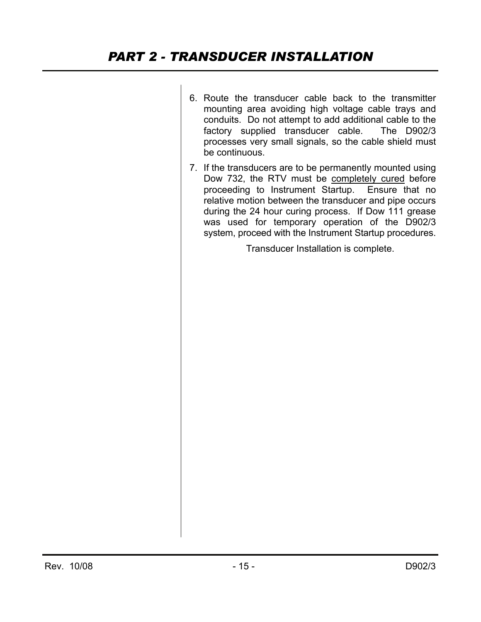- 6. Route the transducer cable back to the transmitter mounting area avoiding high voltage cable trays and conduits. Do not attempt to add additional cable to the factory supplied transducer cable. The D902/3 processes very small signals, so the cable shield must be continuous.
- 7. If the transducers are to be permanently mounted using Dow 732, the RTV must be completely cured before proceeding to Instrument Startup. Ensure that no relative motion between the transducer and pipe occurs during the 24 hour curing process. If Dow 111 grease was used for temporary operation of the D902/3 system, proceed with the Instrument Startup procedures.

Transducer Installation is complete.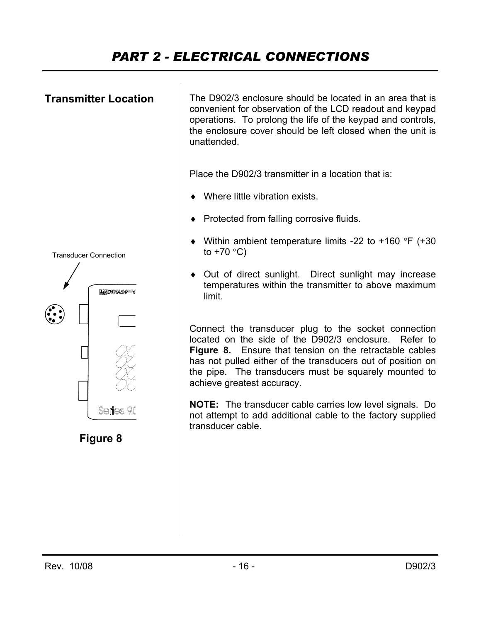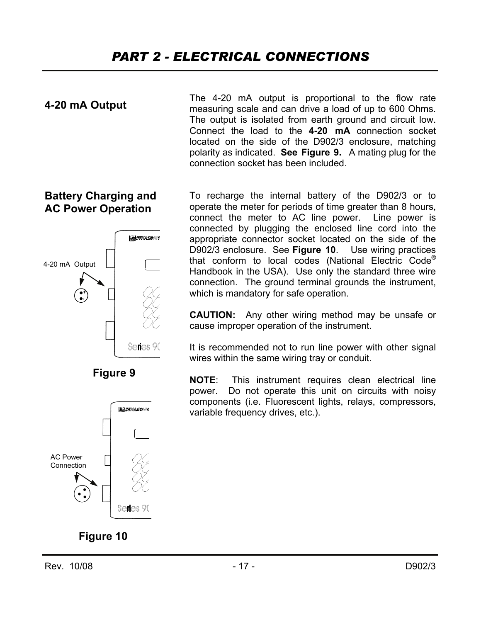

#### **Battery Charging and AC Power Operation**





The 4-20 mA output is proportional to the flow rate measuring scale and can drive a load of up to 600 Ohms. The output is isolated from earth ground and circuit low. Connect the load to the **4-20 mA** connection socket located on the side of the D902/3 enclosure, matching polarity as indicated. **See Figure 9.** A mating plug for the connection socket has been included.

To recharge the internal battery of the D902/3 or to operate the meter for periods of time greater than 8 hours, connect the meter to AC line power. Line power is connected by plugging the enclosed line cord into the appropriate connector socket located on the side of the D902/3 enclosure. See **Figure 10**. Use wiring practices that conform to local codes (National Electric Code® Handbook in the USA). Use only the standard three wire connection. The ground terminal grounds the instrument, which is mandatory for safe operation.

**CAUTION:** Any other wiring method may be unsafe or cause improper operation of the instrument.

It is recommended not to run line power with other signal wires within the same wiring tray or conduit.

**NOTE**: This instrument requires clean electrical line power. Do not operate this unit on circuits with noisy components (i.e. Fluorescent lights, relays, compressors, variable frequency drives, etc.).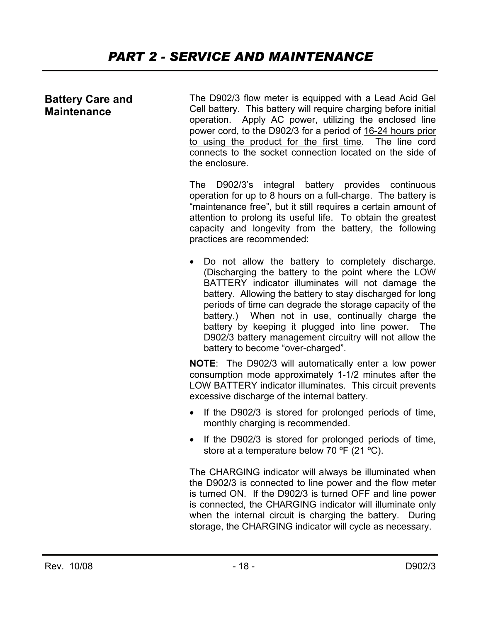#### **Battery Care and Maintenance**

The D902/3 flow meter is equipped with a Lead Acid Gel Cell battery. This battery will require charging before initial operation. Apply AC power, utilizing the enclosed line power cord, to the D902/3 for a period of 16-24 hours prior to using the product for the first time. The line cord connects to the socket connection located on the side of the enclosure.

The D902/3's integral battery provides continuous operation for up to 8 hours on a full-charge. The battery is "maintenance free", but it still requires a certain amount of attention to prolong its useful life. To obtain the greatest capacity and longevity from the battery, the following practices are recommended:

• Do not allow the battery to completely discharge. (Discharging the battery to the point where the LOW BATTERY indicator illuminates will not damage the battery. Allowing the battery to stay discharged for long periods of time can degrade the storage capacity of the battery.) When not in use, continually charge the battery by keeping it plugged into line power. The D902/3 battery management circuitry will not allow the battery to become "over-charged".

**NOTE**: The D902/3 will automatically enter a low power consumption mode approximately 1-1/2 minutes after the LOW BATTERY indicator illuminates. This circuit prevents excessive discharge of the internal battery.

- If the D902/3 is stored for prolonged periods of time, monthly charging is recommended.
- If the D902/3 is stored for prolonged periods of time, store at a temperature below 70 °F (21 °C).

The CHARGING indicator will always be illuminated when the D902/3 is connected to line power and the flow meter is turned ON. If the D902/3 is turned OFF and line power is connected, the CHARGING indicator will illuminate only when the internal circuit is charging the battery. During storage, the CHARGING indicator will cycle as necessary.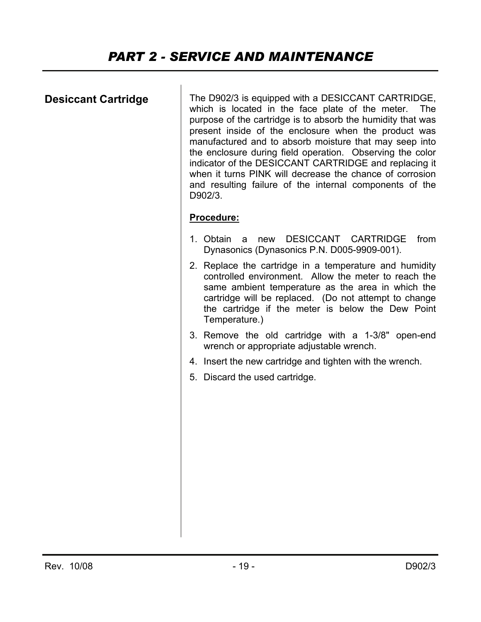### **Desiccant Cartridge**

The D902/3 is equipped with a DESICCANT CARTRIDGE, which is located in the face plate of the meter. The purpose of the cartridge is to absorb the humidity that was present inside of the enclosure when the product was manufactured and to absorb moisture that may seep into the enclosure during field operation. Observing the color indicator of the DESICCANT CARTRIDGE and replacing it when it turns PINK will decrease the chance of corrosion and resulting failure of the internal components of the D902/3.

#### **Procedure:**

- 1. Obtain a new DESICCANT CARTRIDGE from Dynasonics (Dynasonics P.N. D005-9909-001).
- 2. Replace the cartridge in a temperature and humidity controlled environment. Allow the meter to reach the same ambient temperature as the area in which the cartridge will be replaced. (Do not attempt to change the cartridge if the meter is below the Dew Point Temperature.)
- 3. Remove the old cartridge with a 1-3/8" open-end wrench or appropriate adjustable wrench.
- 4. Insert the new cartridge and tighten with the wrench.
- 5. Discard the used cartridge.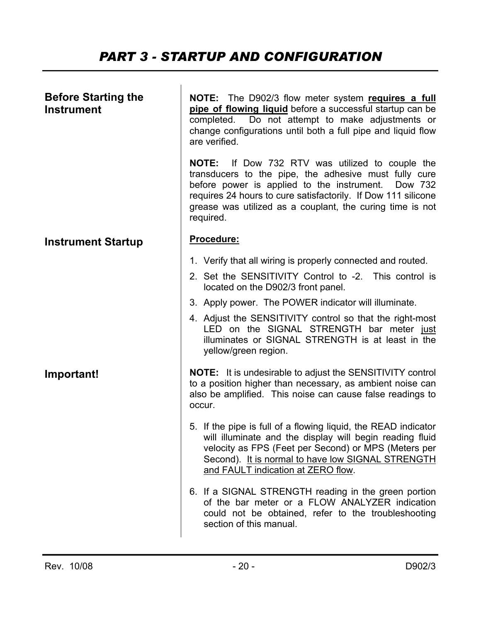### *PART 3 - STARTUP AND CONFIGURATION*

| <b>Before Starting the</b><br><b>Instrument</b> | NOTE: The D902/3 flow meter system requires a full<br>pipe of flowing liquid before a successful startup can be<br>Do not attempt to make adjustments or<br>completed.<br>change configurations until both a full pipe and liquid flow<br>are verified.                                                             |  |  |
|-------------------------------------------------|---------------------------------------------------------------------------------------------------------------------------------------------------------------------------------------------------------------------------------------------------------------------------------------------------------------------|--|--|
|                                                 | <b>NOTE:</b> If Dow 732 RTV was utilized to couple the<br>transducers to the pipe, the adhesive must fully cure<br>before power is applied to the instrument.<br>Dow 732<br>requires 24 hours to cure satisfactorily. If Dow 111 silicone<br>grease was utilized as a couplant, the curing time is not<br>required. |  |  |
| <b>Instrument Startup</b>                       | Procedure:                                                                                                                                                                                                                                                                                                          |  |  |
|                                                 | 1. Verify that all wiring is properly connected and routed.                                                                                                                                                                                                                                                         |  |  |
|                                                 | 2. Set the SENSITIVITY Control to -2. This control is<br>located on the D902/3 front panel.                                                                                                                                                                                                                         |  |  |
|                                                 | 3. Apply power. The POWER indicator will illuminate.                                                                                                                                                                                                                                                                |  |  |
|                                                 | 4. Adjust the SENSITIVITY control so that the right-most<br>LED on the SIGNAL STRENGTH bar meter just<br>illuminates or SIGNAL STRENGTH is at least in the<br>yellow/green region.                                                                                                                                  |  |  |
| Important!                                      | <b>NOTE:</b> It is undesirable to adjust the SENSITIVITY control<br>to a position higher than necessary, as ambient noise can<br>also be amplified. This noise can cause false readings to<br>occur.                                                                                                                |  |  |
|                                                 | 5. If the pipe is full of a flowing liquid, the READ indicator<br>will illuminate and the display will begin reading fluid<br>velocity as FPS (Feet per Second) or MPS (Meters per<br>Second). It is normal to have low SIGNAL STRENGTH<br>and FAULT indication at ZERO flow.                                       |  |  |
|                                                 | 6. If a SIGNAL STRENGTH reading in the green portion<br>of the bar meter or a FLOW ANALYZER indication<br>could not be obtained, refer to the troubleshooting<br>section of this manual.                                                                                                                            |  |  |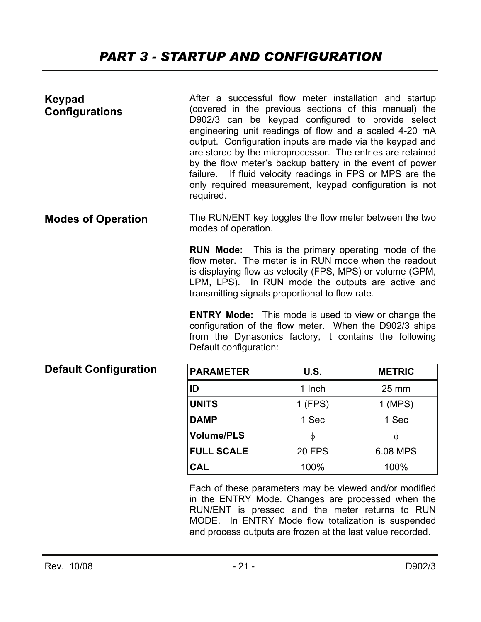### *PART 3 - STARTUP AND CONFIGURATION*

| Keypad<br><b>Configurations</b> | After a successful flow meter installation and startup<br>(covered in the previous sections of this manual) the<br>D902/3 can be keypad configured to provide select<br>engineering unit readings of flow and a scaled 4-20 mA<br>output. Configuration inputs are made via the keypad and<br>are stored by the microprocessor. The entries are retained<br>by the flow meter's backup battery in the event of power<br>failure. If fluid velocity readings in FPS or MPS are the<br>only required measurement, keypad configuration is not<br>required. |               |                   |
|---------------------------------|----------------------------------------------------------------------------------------------------------------------------------------------------------------------------------------------------------------------------------------------------------------------------------------------------------------------------------------------------------------------------------------------------------------------------------------------------------------------------------------------------------------------------------------------------------|---------------|-------------------|
| <b>Modes of Operation</b>       | The RUN/ENT key toggles the flow meter between the two<br>modes of operation.                                                                                                                                                                                                                                                                                                                                                                                                                                                                            |               |                   |
|                                 | <b>RUN Mode:</b> This is the primary operating mode of the<br>flow meter. The meter is in RUN mode when the readout<br>is displaying flow as velocity (FPS, MPS) or volume (GPM,<br>LPM, LPS). In RUN mode the outputs are active and<br>transmitting signals proportional to flow rate.<br><b>ENTRY Mode:</b> This mode is used to view or change the<br>configuration of the flow meter. When the D902/3 ships<br>from the Dynasonics factory, it contains the following<br>Default configuration:                                                     |               |                   |
| <b>Default Configuration</b>    | <b>PARAMETER</b>                                                                                                                                                                                                                                                                                                                                                                                                                                                                                                                                         | <b>U.S.</b>   | <b>METRIC</b>     |
|                                 | ID                                                                                                                                                                                                                                                                                                                                                                                                                                                                                                                                                       | 1 Inch        | $25 \, \text{mm}$ |
|                                 | <b>UNITS</b>                                                                                                                                                                                                                                                                                                                                                                                                                                                                                                                                             | 1 (FPS)       | $1$ (MPS)         |
|                                 | <b>DAMP</b>                                                                                                                                                                                                                                                                                                                                                                                                                                                                                                                                              | 1 Sec         | 1 Sec             |
|                                 | <b>Volume/PLS</b>                                                                                                                                                                                                                                                                                                                                                                                                                                                                                                                                        | $\phi$        | $\phi$            |
|                                 | <b>FULL SCALE</b>                                                                                                                                                                                                                                                                                                                                                                                                                                                                                                                                        | <b>20 FPS</b> | 6.08 MPS          |
|                                 | <b>CAL</b>                                                                                                                                                                                                                                                                                                                                                                                                                                                                                                                                               | 100%          | 100%              |
|                                 | Each of these parameters may be viewed and/or modified<br>in the ENTRY Mode. Changes are processed when the<br>RUN/ENT is pressed and the meter returns to RUN<br>MODE. In ENTRY Mode flow totalization is suspended                                                                                                                                                                                                                                                                                                                                     |               |                   |

and process outputs are frozen at the last value recorded.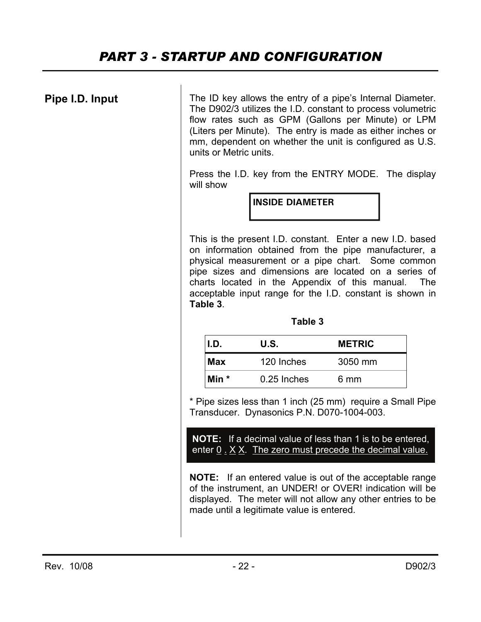### **Pipe I.D. Input**

The ID key allows the entry of a pipe's Internal Diameter. The D902/3 utilizes the I.D. constant to process volumetric flow rates such as GPM (Gallons per Minute) or LPM (Liters per Minute). The entry is made as either inches or mm, dependent on whether the unit is configured as U.S. units or Metric units.

Press the I.D. key from the ENTRY MODE. The display will show

**INSIDE DIAMETER** 

This is the present I.D. constant. Enter a new I.D. based on information obtained from the pipe manufacturer, a physical measurement or a pipe chart. Some common pipe sizes and dimensions are located on a series of charts located in the Appendix of this manual. The acceptable input range for the I.D. constant is shown in **Table 3**.

#### **Table 3**

| II.D. | U.S.        | <b>METRIC</b> |
|-------|-------------|---------------|
| l Max | 120 Inches  | 3050 mm       |
| Min * | 0.25 Inches | 6 mm          |

\* Pipe sizes less than 1 inch (25 mm) require a Small Pipe Transducer. Dynasonics P.N. D070-1004-003.

**NOTE:** If a decimal value of less than 1 is to be entered, enter  $0 \cdot X$  X. The zero must precede the decimal value.

**NOTE:** If an entered value is out of the acceptable range of the instrument, an UNDER! or OVER! indication will be displayed. The meter will not allow any other entries to be made until a legitimate value is entered.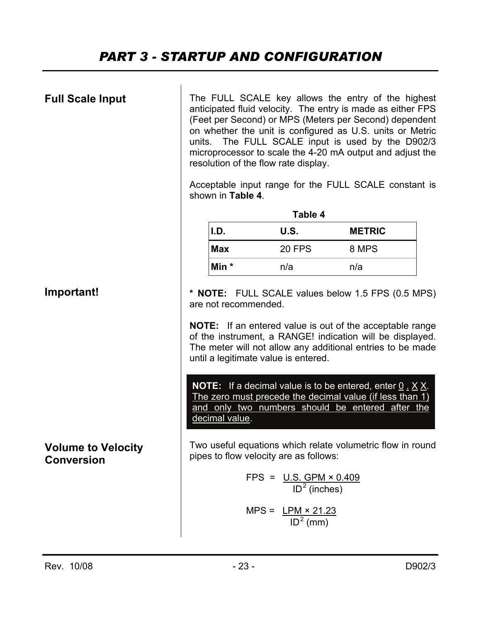| <b>Full Scale Input</b>                        | The FULL SCALE key allows the entry of the highest<br>anticipated fluid velocity. The entry is made as either FPS<br>(Feet per Second) or MPS (Meters per Second) dependent<br>on whether the unit is configured as U.S. units or Metric<br>The FULL SCALE input is used by the D902/3<br>units.<br>microprocessor to scale the 4-20 mA output and adjust the<br>resolution of the flow rate display.<br>Acceptable input range for the FULL SCALE constant is<br>shown in Table 4. |                                                                       |               |  |
|------------------------------------------------|-------------------------------------------------------------------------------------------------------------------------------------------------------------------------------------------------------------------------------------------------------------------------------------------------------------------------------------------------------------------------------------------------------------------------------------------------------------------------------------|-----------------------------------------------------------------------|---------------|--|
|                                                | I.D.                                                                                                                                                                                                                                                                                                                                                                                                                                                                                | Table 4<br>U.S.                                                       | <b>METRIC</b> |  |
|                                                | <b>Max</b>                                                                                                                                                                                                                                                                                                                                                                                                                                                                          | <b>20 FPS</b>                                                         | 8 MPS         |  |
|                                                | Min *                                                                                                                                                                                                                                                                                                                                                                                                                                                                               | n/a                                                                   | n/a           |  |
| Important!                                     | * <b>NOTE:</b> FULL SCALE values below 1.5 FPS (0.5 MPS)<br>are not recommended.<br><b>NOTE:</b> If an entered value is out of the acceptable range<br>of the instrument, a RANGE! indication will be displayed.<br>The meter will not allow any additional entries to be made<br>until a legitimate value is entered.                                                                                                                                                              |                                                                       |               |  |
|                                                | <b>NOTE:</b> If a decimal value is to be entered, enter $0 \cdot X X$ .<br>The zero must precede the decimal value (if less than 1)<br>and only two numbers should be entered after the<br>decimal value.                                                                                                                                                                                                                                                                           |                                                                       |               |  |
| <b>Volume to Velocity</b><br><b>Conversion</b> | Two useful equations which relate volumetric flow in round<br>pipes to flow velocity are as follows:                                                                                                                                                                                                                                                                                                                                                                                |                                                                       |               |  |
|                                                |                                                                                                                                                                                                                                                                                                                                                                                                                                                                                     | FPS = $\underline{U.S. GPM \times 0.409}$<br>ID <sup>2</sup> (inches) |               |  |
|                                                |                                                                                                                                                                                                                                                                                                                                                                                                                                                                                     | MPS = $LPM \times 21.23$<br>ID <sup>2</sup> (mm)                      |               |  |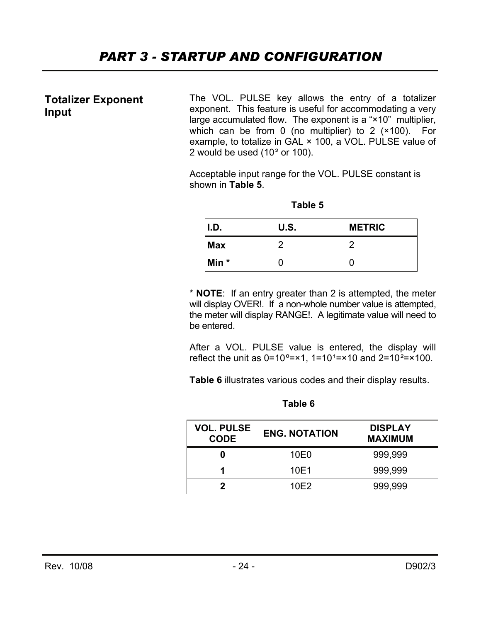#### **Totalizer Exponent Input**

The VOL. PULSE key allows the entry of a totalizer exponent. This feature is useful for accommodating a very large accumulated flow. The exponent is a "×10" multiplier, which can be from 0 (no multiplier) to 2 (×100). For example, to totalize in GAL × 100, a VOL. PULSE value of 2 would be used (10² or 100).

Acceptable input range for the VOL. PULSE constant is shown in **Table 5**.

| Table 5                       |  |   |  |  |  |
|-------------------------------|--|---|--|--|--|
| U.S.<br><b>METRIC</b><br>I.D. |  |   |  |  |  |
| <b>Max</b>                    |  | 2 |  |  |  |
| Min *                         |  |   |  |  |  |

\* **NOTE**: If an entry greater than 2 is attempted, the meter will display OVER!. If a non-whole number value is attempted, the meter will display RANGE!. A legitimate value will need to be entered.

After a VOL. PULSE value is entered, the display will reflect the unit as  $0=10^{\circ}$ =×1, 1=10<sup>1</sup>=×10 and 2=10<sup>2</sup>=×100.

**Table 6** illustrates various codes and their display results.

#### **Table 6**

| <b>VOL. PULSE</b><br><b>CODE</b> | <b>ENG. NOTATION</b> | <b>DISPLAY</b><br><b>MAXIMUM</b> |
|----------------------------------|----------------------|----------------------------------|
|                                  | 10E0                 | 999,999                          |
|                                  | 10E1                 | 999,999                          |
|                                  | 10E2                 | 999,999                          |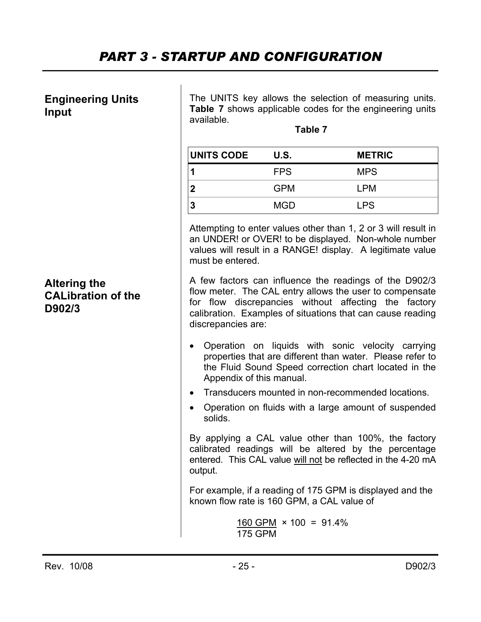#### **Engineering Units Input**

The UNITS key allows the selection of measuring units. **Table 7** shows applicable codes for the engineering units available.

**Table 7** 

| <b>UNITS CODE</b> | U.S.       | <b>METRIC</b> |
|-------------------|------------|---------------|
|                   | <b>FPS</b> | <b>MPS</b>    |
|                   | <b>GPM</b> | <b>LPM</b>    |
|                   | <b>MGD</b> | <b>LPS</b>    |

Attempting to enter values other than 1, 2 or 3 will result in an UNDER! or OVER! to be displayed. Non-whole number values will result in a RANGE! display. A legitimate value must be entered.

A few factors can influence the readings of the D902/3 flow meter. The CAL entry allows the user to compensate for flow discrepancies without affecting the factory calibration. Examples of situations that can cause reading discrepancies are:

- Operation on liquids with sonic velocity carrying properties that are different than water. Please refer to the Fluid Sound Speed correction chart located in the Appendix of this manual.
- Transducers mounted in non-recommended locations.
- Operation on fluids with a large amount of suspended solids.

By applying a CAL value other than 100%, the factory calibrated readings will be altered by the percentage entered. This CAL value will not be reflected in the 4-20 mA output.

For example, if a reading of 175 GPM is displayed and the known flow rate is 160 GPM, a CAL value of

$$
\frac{160 \text{ GPM}}{175 \text{ GPM}} \times 100 = 91.4\%
$$

### **Altering the CALibration of the D902/3**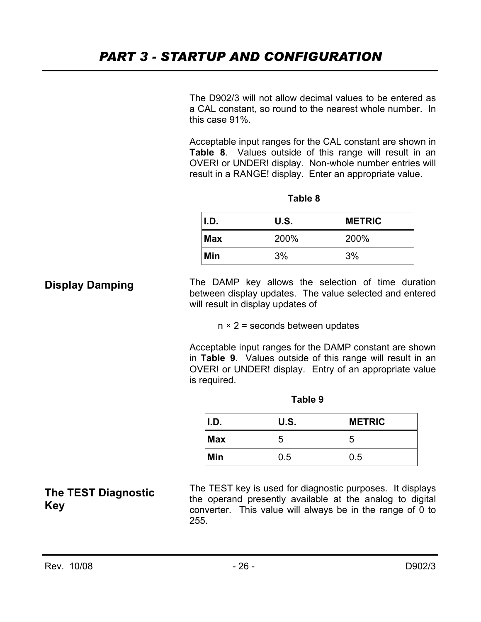The D902/3 will not allow decimal values to be entered as a CAL constant, so round to the nearest whole number. In this case 91%.

Acceptable input ranges for the CAL constant are shown in **Table 8**. Values outside of this range will result in an OVER! or UNDER! display. Non-whole number entries will result in a RANGE! display. Enter an appropriate value.

| <b>I.D.</b> | U.S. | <b>METRIC</b> |
|-------------|------|---------------|
| <b>Max</b>  | 200% | 200%          |
| Min         | 3%   | 3%            |

**Table 8** 

The DAMP key allows the selection of time duration between display updates. The value selected and entered will result in display updates of

 $n \times 2$  = seconds between updates

Acceptable input ranges for the DAMP constant are shown in **Table 9**. Values outside of this range will result in an OVER! or UNDER! display. Entry of an appropriate value is required.

| Table 9                       |     |     |  |  |
|-------------------------------|-----|-----|--|--|
| U.S.<br>I.D.<br><b>METRIC</b> |     |     |  |  |
| <b>Max</b>                    | 5   | 5   |  |  |
| Min                           | 0.5 | 0.5 |  |  |

The TEST key is used for diagnostic purposes. It displays the operand presently available at the analog to digital converter. This value will always be in the range of 0 to 255.

**Display Damping** 

**The TEST Diagnostic Key**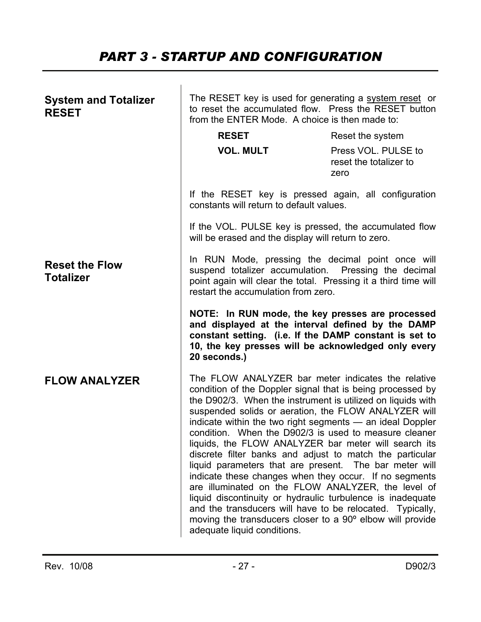### *PART 3 - STARTUP AND CONFIGURATION*

| <b>System and Totalizer</b><br><b>RESET</b> | The RESET key is used for generating a system reset or<br>to reset the accumulated flow. Press the RESET button<br>from the ENTER Mode. A choice is then made to:                                                                                                                                                                                                                                                                                                                                                                                                                                                                                                                                                                                                                                                                                                                  |                                                       |  |
|---------------------------------------------|------------------------------------------------------------------------------------------------------------------------------------------------------------------------------------------------------------------------------------------------------------------------------------------------------------------------------------------------------------------------------------------------------------------------------------------------------------------------------------------------------------------------------------------------------------------------------------------------------------------------------------------------------------------------------------------------------------------------------------------------------------------------------------------------------------------------------------------------------------------------------------|-------------------------------------------------------|--|
|                                             | <b>RESET</b>                                                                                                                                                                                                                                                                                                                                                                                                                                                                                                                                                                                                                                                                                                                                                                                                                                                                       | Reset the system                                      |  |
|                                             | <b>VOL. MULT</b>                                                                                                                                                                                                                                                                                                                                                                                                                                                                                                                                                                                                                                                                                                                                                                                                                                                                   | Press VOL. PULSE to<br>reset the totalizer to<br>zero |  |
|                                             | If the RESET key is pressed again, all configuration<br>constants will return to default values.                                                                                                                                                                                                                                                                                                                                                                                                                                                                                                                                                                                                                                                                                                                                                                                   |                                                       |  |
|                                             | If the VOL. PULSE key is pressed, the accumulated flow<br>will be erased and the display will return to zero.                                                                                                                                                                                                                                                                                                                                                                                                                                                                                                                                                                                                                                                                                                                                                                      |                                                       |  |
| <b>Reset the Flow</b><br><b>Totalizer</b>   | In RUN Mode, pressing the decimal point once will<br>suspend totalizer accumulation. Pressing the decimal<br>point again will clear the total. Pressing it a third time will<br>restart the accumulation from zero.<br>NOTE: In RUN mode, the key presses are processed<br>and displayed at the interval defined by the DAMP<br>constant setting. (i.e. If the DAMP constant is set to<br>10, the key presses will be acknowledged only every<br>20 seconds.)                                                                                                                                                                                                                                                                                                                                                                                                                      |                                                       |  |
|                                             |                                                                                                                                                                                                                                                                                                                                                                                                                                                                                                                                                                                                                                                                                                                                                                                                                                                                                    |                                                       |  |
| <b>FLOW ANALYZER</b>                        | The FLOW ANALYZER bar meter indicates the relative<br>condition of the Doppler signal that is being processed by<br>the D902/3. When the instrument is utilized on liquids with<br>suspended solids or aeration, the FLOW ANALYZER will<br>indicate within the two right segments - an ideal Doppler<br>condition. When the D902/3 is used to measure cleaner<br>liquids, the FLOW ANALYZER bar meter will search its<br>discrete filter banks and adjust to match the particular<br>liquid parameters that are present. The bar meter will<br>indicate these changes when they occur. If no segments<br>are illuminated on the FLOW ANALYZER, the level of<br>liquid discontinuity or hydraulic turbulence is inadequate<br>and the transducers will have to be relocated. Typically,<br>moving the transducers closer to a 90° elbow will provide<br>adequate liquid conditions. |                                                       |  |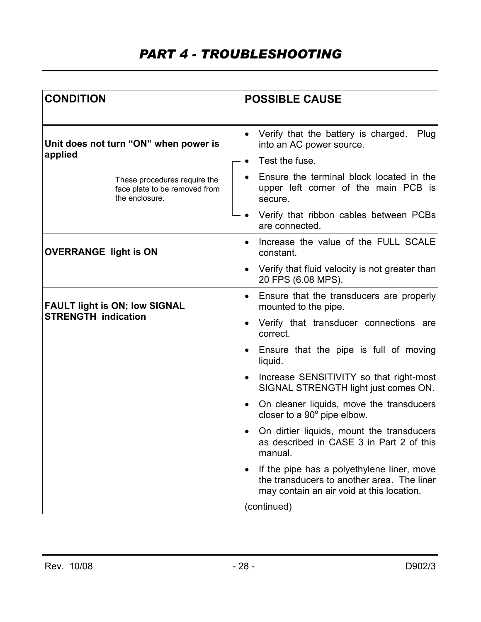### *PART 4 - TROUBLESHOOTING*

| <b>CONDITION</b>                                                                | <b>POSSIBLE CAUSE</b>                                                                                                                 |  |  |
|---------------------------------------------------------------------------------|---------------------------------------------------------------------------------------------------------------------------------------|--|--|
| Unit does not turn "ON" when power is                                           | Verify that the battery is charged.<br>Plug<br>$\bullet$<br>into an AC power source.                                                  |  |  |
| applied                                                                         | Test the fuse.                                                                                                                        |  |  |
| These procedures require the<br>face plate to be removed from<br>the enclosure. | Ensure the terminal block located in the<br>upper left corner of the main PCB is<br>secure.                                           |  |  |
|                                                                                 | Verify that ribbon cables between PCBs<br>are connected.                                                                              |  |  |
| <b>OVERRANGE light is ON</b>                                                    | Increase the value of the FULL SCALE<br>$\bullet$<br>constant.                                                                        |  |  |
|                                                                                 | Verify that fluid velocity is not greater than<br>$\bullet$<br>20 FPS (6.08 MPS).                                                     |  |  |
| <b>FAULT light is ON; low SIGNAL</b>                                            | Ensure that the transducers are properly<br>$\bullet$<br>mounted to the pipe.                                                         |  |  |
| <b>STRENGTH indication</b>                                                      | Verify that transducer connections are<br>$\bullet$<br>correct.                                                                       |  |  |
|                                                                                 | Ensure that the pipe is full of moving<br>$\bullet$<br>liquid.                                                                        |  |  |
|                                                                                 | Increase SENSITIVITY so that right-most<br>$\bullet$<br>SIGNAL STRENGTH light just comes ON.                                          |  |  |
|                                                                                 | On cleaner liquids, move the transducers<br>closer to a $90^\circ$ pipe elbow.                                                        |  |  |
|                                                                                 | On dirtier liquids, mount the transducers<br>as described in CASE 3 in Part 2 of this<br>manual.                                      |  |  |
|                                                                                 | If the pipe has a polyethylene liner, move<br>the transducers to another area. The liner<br>may contain an air void at this location. |  |  |
|                                                                                 | (continued)                                                                                                                           |  |  |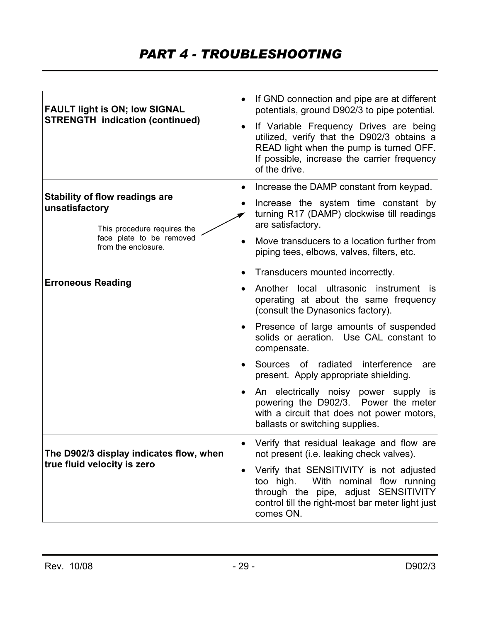### *PART 4 - TROUBLESHOOTING*

| <b>FAULT light is ON; low SIGNAL</b><br><b>STRENGTH</b> indication (continued) | If GND connection and pipe are at different<br>$\bullet$<br>potentials, ground D902/3 to pipe potential.<br>If Variable Frequency Drives are being<br>$\bullet$<br>utilized, verify that the D902/3 obtains a<br>READ light when the pump is turned OFF.<br>If possible, increase the carrier frequency<br>of the drive. |
|--------------------------------------------------------------------------------|--------------------------------------------------------------------------------------------------------------------------------------------------------------------------------------------------------------------------------------------------------------------------------------------------------------------------|
| <b>Stability of flow readings are</b>                                          | Increase the DAMP constant from keypad.<br>$\bullet$                                                                                                                                                                                                                                                                     |
| unsatisfactory<br>This procedure requires the                                  | Increase the system time constant by<br>turning R17 (DAMP) clockwise till readings<br>are satisfactory.                                                                                                                                                                                                                  |
| face plate to be removed<br>from the enclosure.                                | Move transducers to a location further from<br>piping tees, elbows, valves, filters, etc.                                                                                                                                                                                                                                |
|                                                                                | Transducers mounted incorrectly.<br>$\bullet$                                                                                                                                                                                                                                                                            |
| <b>Erroneous Reading</b>                                                       | Another local ultrasonic instrument<br><b>is</b><br>operating at about the same frequency<br>(consult the Dynasonics factory).                                                                                                                                                                                           |
|                                                                                | Presence of large amounts of suspended<br>solids or aeration. Use CAL constant to<br>compensate.                                                                                                                                                                                                                         |
|                                                                                | Sources of radiated<br>interference<br>are<br>present. Apply appropriate shielding.                                                                                                                                                                                                                                      |
|                                                                                | An electrically noisy power supply is<br>powering the D902/3. Power the meter<br>with a circuit that does not power motors,<br>ballasts or switching supplies.                                                                                                                                                           |
| The D902/3 display indicates flow, when                                        | Verify that residual leakage and flow are<br>not present (i.e. leaking check valves).                                                                                                                                                                                                                                    |
| true fluid velocity is zero                                                    | Verify that SENSITIVITY is not adjusted<br>$\bullet$<br>With nominal flow running<br>too high.<br>through the pipe, adjust SENSITIVITY<br>control till the right-most bar meter light just<br>comes ON.                                                                                                                  |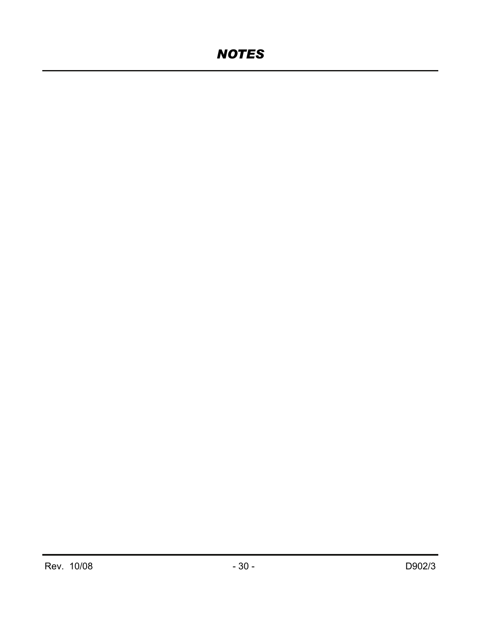### *NOTES*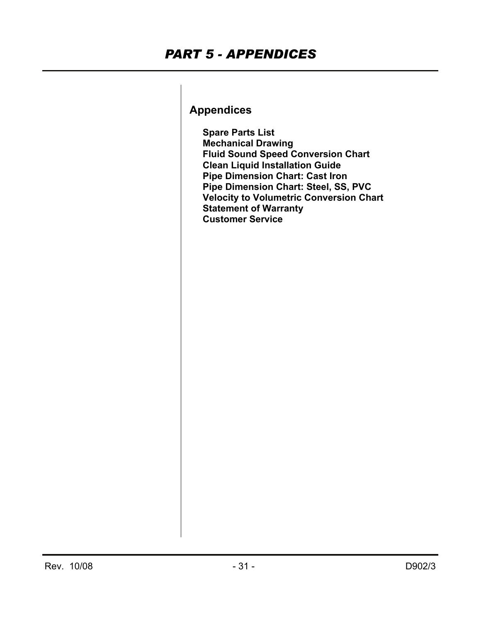### **Appendices**

 **Spare Parts List Mechanical Drawing Fluid Sound Speed Conversion Chart Clean Liquid Installation Guide Pipe Dimension Chart: Cast Iron Pipe Dimension Chart: Steel, SS, PVC Velocity to Volumetric Conversion Chart Statement of Warranty Customer Service**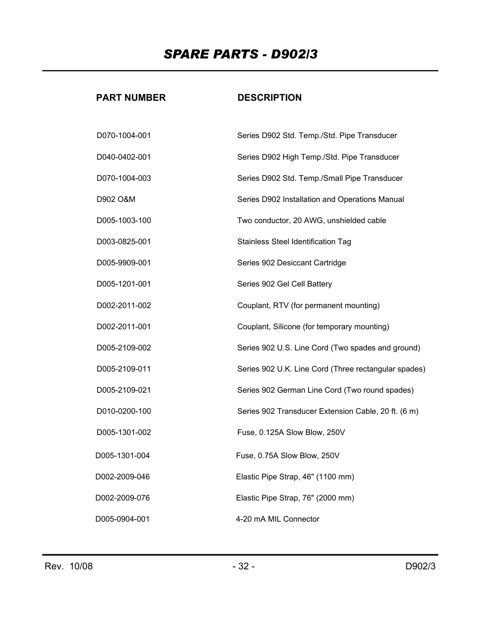### *SPARE PARTS - D902/3*

#### **PART NUMBER**

#### **DESCRIPTION**

| D070-1004-001 | Series D902 Std. Temp./Std. Pipe Transducer          |
|---------------|------------------------------------------------------|
| D040-0402-001 | Series D902 High Temp./Std. Pipe Transducer          |
| D070-1004-003 | Series D902 Std. Temp./Small Pipe Transducer         |
| D902 O&M      | Series D902 Installation and Operations Manual       |
| D005-1003-100 | Two conductor, 20 AWG, unshielded cable              |
| D003-0825-001 | Stainless Steel Identification Tag                   |
| D005-9909-001 | Series 902 Desiccant Cartridge                       |
| D005-1201-001 | Series 902 Gel Cell Battery                          |
| D002-2011-002 | Couplant, RTV (for permanent mounting)               |
| D002-2011-001 | Couplant, Silicone (for temporary mounting)          |
| D005-2109-002 | Series 902 U.S. Line Cord (Two spades and ground)    |
| D005-2109-011 | Series 902 U.K. Line Cord (Three rectangular spades) |
| D005-2109-021 | Series 902 German Line Cord (Two round spades)       |
| D010-0200-100 | Series 902 Transducer Extension Cable, 20 ft. (6 m)  |
| D005-1301-002 | Fuse, 0.125A Slow Blow, 250V                         |
| D005-1301-004 | Fuse, 0.75A Slow Blow, 250V                          |
| D002-2009-046 | Elastic Pipe Strap, 46" (1100 mm)                    |
| D002-2009-076 | Elastic Pipe Strap, 76" (2000 mm)                    |
| D005-0904-001 | 4-20 mA MIL Connector                                |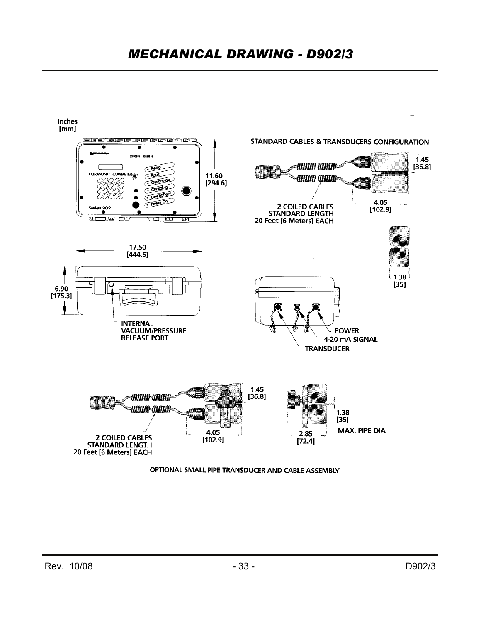

OPTIONAL SMALL PIPE TRANSDUCER AND CABLE ASSEMBLY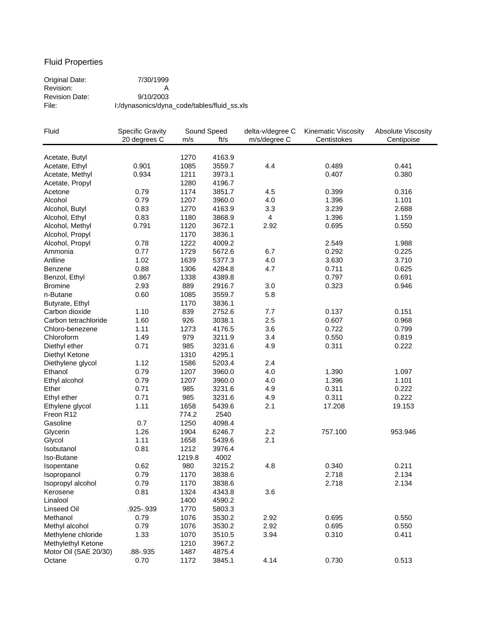#### Fluid Properties

Original Date: 7/30/1999 Revision: A Revision Date: 9/10/2003<br>File: 1:/dynasonics/dyna File: I:/dynasonics/dyna\_code/tables/fluid\_ss.xls

| Fluid                 | <b>Specific Gravity</b> |        | Sound Speed | delta-v/degree C | Kinematic Viscosity | Absolute Viscosity |
|-----------------------|-------------------------|--------|-------------|------------------|---------------------|--------------------|
|                       | 20 degrees C            | m/s    | ft/s        | m/s/degree C     | Centistokes         | Centipoise         |
|                       |                         |        |             |                  |                     |                    |
| Acetate, Butyl        |                         | 1270   | 4163.9      |                  |                     |                    |
| Acetate, Ethyl        | 0.901                   | 1085   | 3559.7      | 4.4              | 0.489               | 0.441              |
| Acetate, Methyl       | 0.934                   | 1211   | 3973.1      |                  | 0.407               | 0.380              |
| Acetate, Propyl       |                         | 1280   | 4196.7      |                  |                     |                    |
| Acetone               | 0.79                    | 1174   | 3851.7      | 4.5              | 0.399               | 0.316              |
| Alcohol               | 0.79                    | 1207   | 3960.0      | 4.0              | 1.396               | 1.101              |
| Alcohol, Butyl        | 0.83                    | 1270   | 4163.9      | 3.3              | 3.239               | 2.688              |
| Alcohol, Ethyl        | 0.83                    | 1180   | 3868.9      | $\overline{4}$   | 1.396               | 1.159              |
| Alcohol, Methyl       | 0.791                   | 1120   | 3672.1      | 2.92             | 0.695               | 0.550              |
| Alcohol, Propyl       |                         | 1170   | 3836.1      |                  |                     |                    |
| Alcohol, Propyl       | 0.78                    | 1222   | 4009.2      |                  | 2.549               | 1.988              |
| Ammonia               | 0.77                    | 1729   | 5672.6      | 6.7              | 0.292               | 0.225              |
| Anlline               | 1.02                    | 1639   | 5377.3      | 4.0              | 3.630               | 3.710              |
| <b>Benzene</b>        | 0.88                    | 1306   | 4284.8      | 4.7              | 0.711               | 0.625              |
| Benzol, Ethyl         | 0.867                   | 1338   | 4389.8      |                  | 0.797               | 0.691              |
| <b>Bromine</b>        | 2.93                    | 889    | 2916.7      | 3.0              | 0.323               | 0.946              |
| n-Butane              | 0.60                    | 1085   | 3559.7      | 5.8              |                     |                    |
| Butyrate, Ethyl       |                         | 1170   | 3836.1      |                  |                     |                    |
| Carbon dioxide        | 1.10                    | 839    | 2752.6      | 7.7              | 0.137               | 0.151              |
| Carbon tetrachloride  | 1.60                    | 926    | 3038.1      | 2.5              | 0.607               | 0.968              |
| Chloro-benezene       | 1.11                    | 1273   | 4176.5      | 3.6              | 0.722               | 0.799              |
| Chloroform            | 1.49                    | 979    | 3211.9      | 3.4              | 0.550               | 0.819              |
| Diethyl ether         | 0.71                    | 985    | 3231.6      | 4.9              | 0.311               | 0.222              |
| Diethyl Ketone        |                         | 1310   | 4295.1      |                  |                     |                    |
| Diethylene glycol     | 1.12                    | 1586   | 5203.4      | 2.4              |                     |                    |
| Ethanol               | 0.79                    | 1207   | 3960.0      | 4.0              | 1.390               | 1.097              |
| Ethyl alcohol         | 0.79                    | 1207   | 3960.0      | 4.0              | 1.396               | 1.101              |
| Ether                 | 0.71                    | 985    | 3231.6      | 4.9              | 0.311               | 0.222              |
| Ethyl ether           | 0.71                    | 985    | 3231.6      | 4.9              | 0.311               | 0.222              |
| Ethylene glycol       | 1.11                    | 1658   | 5439.6      | 2.1              | 17.208              | 19.153             |
| Freon R12             |                         | 774.2  | 2540        |                  |                     |                    |
| Gasoline              | 0.7                     | 1250   | 4098.4      |                  |                     |                    |
| Glycerin              | 1.26                    | 1904   | 6246.7      | 2.2              | 757.100             | 953.946            |
| Glycol                | 1.11                    | 1658   | 5439.6      | 2.1              |                     |                    |
| Isobutanol            | 0.81                    | 1212   | 3976.4      |                  |                     |                    |
| Iso-Butane            |                         | 1219.8 | 4002        |                  |                     |                    |
|                       | 0.62                    | 980    | 3215.2      | 4.8              | 0.340               | 0.211              |
| Isopentane            | 0.79                    | 1170   | 3838.6      |                  | 2.718               | 2.134              |
| Isopropanol           |                         |        |             |                  |                     |                    |
| Isopropyl alcohol     | 0.79                    | 1170   | 3838.6      |                  | 2.718               | 2.134              |
| Kerosene              | 0.81                    | 1324   | 4343.8      | 3.6              |                     |                    |
| Linalool              |                         | 1400   | 4590.2      |                  |                     |                    |
| Linseed Oil           | .925-.939               | 1770   | 5803.3      |                  |                     |                    |
| Methanol              | 0.79                    | 1076   | 3530.2      | 2.92             | 0.695               | 0.550              |
| Methyl alcohol        | 0.79                    | 1076   | 3530.2      | 2.92             | 0.695               | 0.550              |
| Methylene chloride    | 1.33                    | 1070   | 3510.5      | 3.94             | 0.310               | 0.411              |
| Methylethyl Ketone    |                         | 1210   | 3967.2      |                  |                     |                    |
| Motor Oil (SAE 20/30) | .88-.935                | 1487   | 4875.4      |                  |                     |                    |
| Octane                | 0.70                    | 1172   | 3845.1      | 4.14             | 0.730               | 0.513              |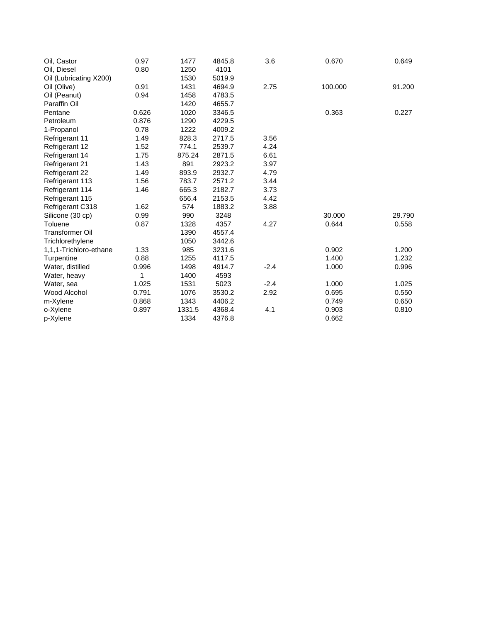| Oil, Castor            | 0.97  | 1477   | 4845.8 | 3.6    | 0.670   | 0.649  |
|------------------------|-------|--------|--------|--------|---------|--------|
| Oil, Diesel            | 0.80  | 1250   | 4101   |        |         |        |
| Oil (Lubricating X200) |       | 1530   | 5019.9 |        |         |        |
| Oil (Olive)            | 0.91  | 1431   | 4694.9 | 2.75   | 100.000 | 91.200 |
| Oil (Peanut)           | 0.94  | 1458   | 4783.5 |        |         |        |
| Paraffin Oil           |       | 1420   | 4655.7 |        |         |        |
| Pentane                | 0.626 | 1020   | 3346.5 |        | 0.363   | 0.227  |
| Petroleum              | 0.876 | 1290   | 4229.5 |        |         |        |
| 1-Propanol             | 0.78  | 1222   | 4009.2 |        |         |        |
| <b>Refrigerant 11</b>  | 1.49  | 828.3  | 2717.5 | 3.56   |         |        |
| Refrigerant 12         | 1.52  | 774.1  | 2539.7 | 4.24   |         |        |
| Refrigerant 14         | 1.75  | 875.24 | 2871.5 | 6.61   |         |        |
| Refrigerant 21         | 1.43  | 891    | 2923.2 | 3.97   |         |        |
| Refrigerant 22         | 1.49  | 893.9  | 2932.7 | 4.79   |         |        |
| Refrigerant 113        | 1.56  | 783.7  | 2571.2 | 3.44   |         |        |
| Refrigerant 114        | 1.46  | 665.3  | 2182.7 | 3.73   |         |        |
| Refrigerant 115        |       | 656.4  | 2153.5 | 4.42   |         |        |
| Refrigerant C318       | 1.62  | 574    | 1883.2 | 3.88   |         |        |
| Silicone (30 cp)       | 0.99  | 990    | 3248   |        | 30.000  | 29.790 |
| Toluene                | 0.87  | 1328   | 4357   | 4.27   | 0.644   | 0.558  |
| <b>Transformer Oil</b> |       | 1390   | 4557.4 |        |         |        |
| Trichlorethylene       |       | 1050   | 3442.6 |        |         |        |
| 1,1,1-Trichloro-ethane | 1.33  | 985    | 3231.6 |        | 0.902   | 1.200  |
| Turpentine             | 0.88  | 1255   | 4117.5 |        | 1.400   | 1.232  |
| Water, distilled       | 0.996 | 1498   | 4914.7 | $-2.4$ | 1.000   | 0.996  |
| Water, heavy           | 1     | 1400   | 4593   |        |         |        |
| Water, sea             | 1.025 | 1531   | 5023   | $-2.4$ | 1.000   | 1.025  |
| Wood Alcohol           | 0.791 | 1076   | 3530.2 | 2.92   | 0.695   | 0.550  |
| m-Xylene               | 0.868 | 1343   | 4406.2 |        | 0.749   | 0.650  |
| o-Xylene               | 0.897 | 1331.5 | 4368.4 | 4.1    | 0.903   | 0.810  |
| p-Xylene               |       | 1334   | 4376.8 |        | 0.662   |        |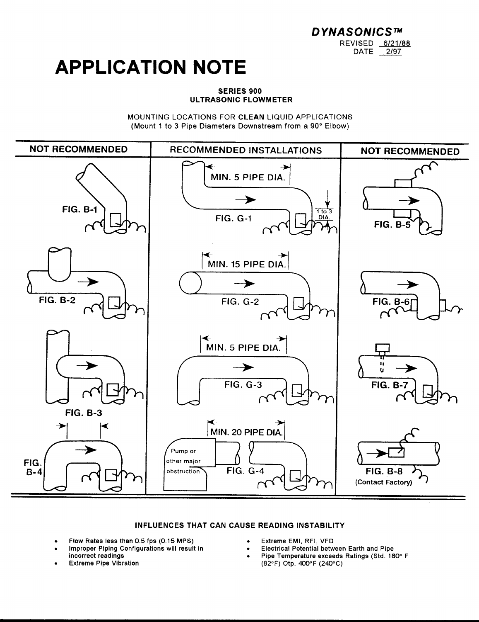**DYNASONICS™** REVISED 6/21/88 DATE 2/97

## **APPLICATION NOTE**

#### **SERIES 900** ULTRASONIC FLOWMETER

MOUNTING LOCATIONS FOR CLEAN LIQUID APPLICATIONS (Mount 1 to 3 Pipe Diameters Downstream from a 90° Elbow)



#### INFLUENCES THAT CAN CAUSE READING INSTABILITY

- Flow Rates less than 0.5 fps (0.15 MPS)
- Improper Piping Configurations will result in incorrect readings
- **Extreme Pipe Vibration**
- Extreme EMI, RFI, VFD
- **Electrical Potential between Earth and Pipe**
- Pipe Temperature exceeds Ratings (Std. 180° F  $(82^{\circ}F)$  Otp. 400°F (240°C)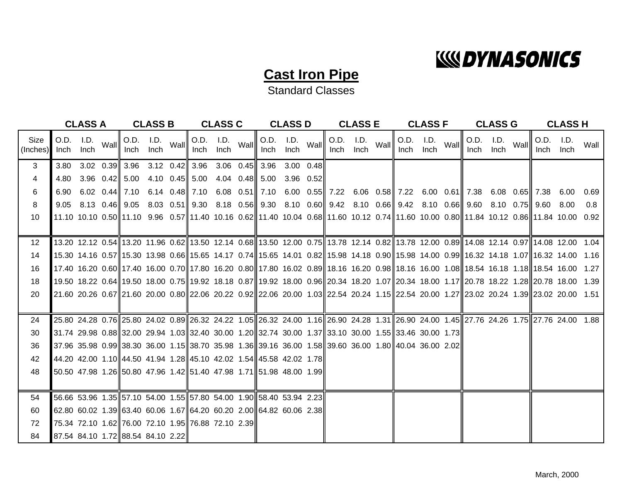## **WOYNASONICS**

### **Cast Iron Pipe**

Standard Classes

|                  | <b>CLASS A</b><br><b>CLASS B</b> |                   |      |                                                                                                            | <b>CLASS C</b>                      |                                     | <b>CLASS D</b> |                                           | <b>CLASS E</b> |                                                                                                          | <b>CLASS F</b>    |      |      | <b>CLASS G</b>    |      |      | <b>CLASS H</b>    |      |                   |                                                                                                                                                |      |
|------------------|----------------------------------|-------------------|------|------------------------------------------------------------------------------------------------------------|-------------------------------------|-------------------------------------|----------------|-------------------------------------------|----------------|----------------------------------------------------------------------------------------------------------|-------------------|------|------|-------------------|------|------|-------------------|------|-------------------|------------------------------------------------------------------------------------------------------------------------------------------------|------|
| Size<br>(Inches) | Inch                             | O.D. I.D.<br>Inch | Wall | Inch                                                                                                       | $\overline{O.D.}$ I.D. Wall<br>Inch | $\overline{O.D.}$ I.D. Wall<br>Inch | Inch           | O.D. I.D. $Wall$<br>Inch                  | Inch           | Inch                                                                                                     | O.D. I.D.<br>Inch | Wall | Inch | O.D. I.D.<br>Inch | Wall | Inch | O.D. I.D.<br>Inch | Wall | O.D. I.D.<br>Inch | -Inch                                                                                                                                          | Wall |
| 3 <sup>1</sup>   | 3.80                             |                   |      | $3.02 \quad 0.39$ 3.96                                                                                     |                                     |                                     |                | 3.12 $0.42$ 3.96 3.06 0.45 3.96 3.00 0.48 |                |                                                                                                          |                   |      |      |                   |      |      |                   |      |                   |                                                                                                                                                |      |
| 4                | 4.80                             |                   |      | $3.96$ 0.42 $5.00$                                                                                         |                                     |                                     |                | 4.10 $0.45$ 5.00 4.04 0.48 5.00           | $3.96$ 0.52    |                                                                                                          |                   |      |      |                   |      |      |                   |      |                   |                                                                                                                                                |      |
| 6                |                                  |                   |      | 6.90 6.02 0.44 7.10                                                                                        |                                     |                                     |                |                                           |                | 6.14 0.48 7.10 6.08 0.51 7.10 6.00 0.55 7.22 6.06 0.58 7.22 6.00 0.61 7.38 6.08 0.65 7.38 6.00           |                   |      |      |                   |      |      |                   |      |                   |                                                                                                                                                | 0.69 |
| 8                |                                  |                   |      | $9.05$ $8.13$ $0.46$ $\parallel$ $9.05$                                                                    |                                     |                                     |                |                                           |                | 8.03 0.51 9.30 8.18 0.56 9.30 8.10 0.60 9.42 8.10 0.66 9.42 8.10 0.66 9.40 0.75 9.60 8.10 0.75 9.60 8.00 |                   |      |      |                   |      |      |                   |      |                   |                                                                                                                                                | 0.8  |
| 10               |                                  |                   |      |                                                                                                            |                                     |                                     |                |                                           |                |                                                                                                          |                   |      |      |                   |      |      |                   |      |                   | 11.10 10.10 0.50  11.10 9.96 0.57  11.40 10.16 0.62  11.40 10.04 0.68  11.60 10.12 0.74  11.60 10.00 0.80  11.84 10.12 0.86  11.84 10.00 0.92  |      |
|                  |                                  |                   |      |                                                                                                            |                                     |                                     |                |                                           |                |                                                                                                          |                   |      |      |                   |      |      |                   |      |                   |                                                                                                                                                |      |
| 12 <sup>2</sup>  |                                  |                   |      |                                                                                                            |                                     |                                     |                |                                           |                |                                                                                                          |                   |      |      |                   |      |      |                   |      |                   | 13.20 12.12 0.54 13.20 11.96 0.62 13.50 12.14 0.68 13.50 12.00 0.75 13.78 12.14 0.82 13.78 12.00 0.89 14.08 12.14 0.97 14.08 12.00 1.04        |      |
| 14               |                                  |                   |      |                                                                                                            |                                     |                                     |                |                                           |                |                                                                                                          |                   |      |      |                   |      |      |                   |      |                   | 15.30 14.16 0.57  15.30 13.98 0.66  15.65 14.17 0.74  15.65 14.01 0.82  15.98 14.18 0.90  15.98 14.00 0.99  16.32 14.18 1.07  16.32 14.00 1.16 |      |
| 16               |                                  |                   |      |                                                                                                            |                                     |                                     |                |                                           |                |                                                                                                          |                   |      |      |                   |      |      |                   |      |                   | 17.40 16.20 0.60∥17.40 16.00 0.70∥17.80 16.20 0.80∥17.80 16.02 0.89∥18.16 16.20 0.98∥18.16 16.00 1.08∥18.54 16.18 1.18∥18.54 16.00 1.27        |      |
| 18               |                                  |                   |      |                                                                                                            |                                     |                                     |                |                                           |                |                                                                                                          |                   |      |      |                   |      |      |                   |      |                   | 19.50 18.22 0.64  19.50 18.00 0.75  19.92 18.18 0.87  19.92 18.00 0.96  20.34 18.20 1.07  20.34 18.00 1.17  20.78 18.22 1.28  20.78 18.00 1.39 |      |
| 20               |                                  |                   |      |                                                                                                            |                                     |                                     |                |                                           |                |                                                                                                          |                   |      |      |                   |      |      |                   |      |                   | 21.60 20.26 0.67  21.60 20.00 0.80  22.06 20.22 0.92  22.06 20.00 1.03  22.54 20.24 1.15  22.54 20.00 1.27  23.02 20.24 1.39  23.02 20.00 1.51 |      |
|                  |                                  |                   |      |                                                                                                            |                                     |                                     |                |                                           |                |                                                                                                          |                   |      |      |                   |      |      |                   |      |                   |                                                                                                                                                |      |
| 24               |                                  |                   |      |                                                                                                            |                                     |                                     |                |                                           |                |                                                                                                          |                   |      |      |                   |      |      |                   |      |                   | 25.80 24.28 0.76 25.80 24.02 0.89 26.32 24.22 1.05 26.32 24.00 1.16 26.90 24.28 1.31 26.90 24.00 1.45 27.76 24.26 1.75 27.76 24.00 1.88        |      |
| 30               |                                  |                   |      | 31.74 29.98 0.88  32.00 29.94 1.03  32.40 30.00 1.20  32.74 30.00 1.37  33.10 30.00 1.55  33.46 30.00 1.73 |                                     |                                     |                |                                           |                |                                                                                                          |                   |      |      |                   |      |      |                   |      |                   |                                                                                                                                                |      |
| 36               |                                  |                   |      | 37.96 35.98 0.99 38.30 36.00 1.15 38.70 35.98 1.36 39.16 36.00 1.58 39.60 36.00 1.80 40.04 36.00 2.02      |                                     |                                     |                |                                           |                |                                                                                                          |                   |      |      |                   |      |      |                   |      |                   |                                                                                                                                                |      |
| 42               |                                  |                   |      | 44.20 42.00 1.10  44.50 41.94 1.28  45.10 42.02 1.54  45.58 42.02 1.78                                     |                                     |                                     |                |                                           |                |                                                                                                          |                   |      |      |                   |      |      |                   |      |                   |                                                                                                                                                |      |
| 48               |                                  |                   |      | 50.50 47.98 1.26 50.80 47.96 1.42 51.40 47.98 1.71 51.98 48.00 1.99                                        |                                     |                                     |                |                                           |                |                                                                                                          |                   |      |      |                   |      |      |                   |      |                   |                                                                                                                                                |      |
|                  |                                  |                   |      |                                                                                                            |                                     |                                     |                |                                           |                |                                                                                                          |                   |      |      |                   |      |      |                   |      |                   |                                                                                                                                                |      |
| 54               |                                  |                   |      | 56.66 53.96 1.35 57.10 54.00 1.55 57.80 54.00 1.90 58.40 53.94 2.23                                        |                                     |                                     |                |                                           |                |                                                                                                          |                   |      |      |                   |      |      |                   |      |                   |                                                                                                                                                |      |
| 60               |                                  |                   |      | $62.80$ 60.02 1.39 63.40 60.06 1.67 64.20 60.20 2.00 64.82 60.06 2.38                                      |                                     |                                     |                |                                           |                |                                                                                                          |                   |      |      |                   |      |      |                   |      |                   |                                                                                                                                                |      |
| 72               |                                  |                   |      | 75.34 72.10 1.62 76.00 72.10 1.95 76.88 72.10 2.39                                                         |                                     |                                     |                |                                           |                |                                                                                                          |                   |      |      |                   |      |      |                   |      |                   |                                                                                                                                                |      |
| 84               |                                  |                   |      | 87.54 84.10 1.72 88.54 84.10 2.22                                                                          |                                     |                                     |                |                                           |                |                                                                                                          |                   |      |      |                   |      |      |                   |      |                   |                                                                                                                                                |      |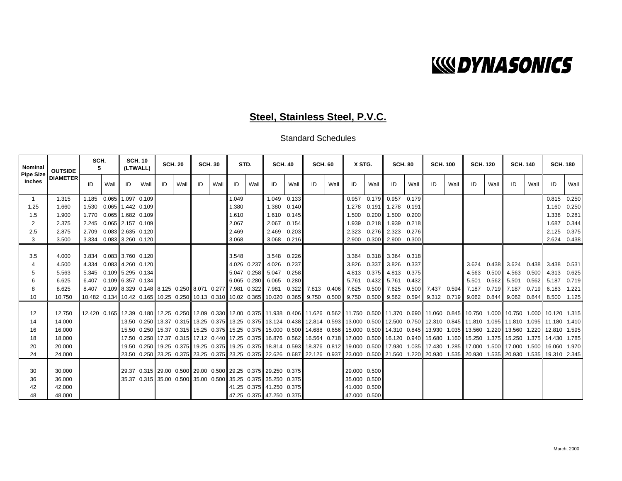## **WOYNASONICS**

### **Steel, Stainless Steel, P.V.C.**

Standard Schedules

| <b>Nominal</b>             | <b>OUTSIDE</b>  | SCH.<br><b>SCH. 10</b><br><b>SCH. 20</b><br>(LTWALL)<br>5. |                            |                     | <b>SCH.30</b><br>STD. |    |      | <b>SCH. 40</b> |      | <b>SCH. 60</b> |             | X STG.                                                       |       | <b>SCH. 80</b>                                                                                                |      | <b>SCH. 100</b> |       | <b>SCH. 120</b>         |       | <b>SCH. 140</b> |       | <b>SCH. 180</b> |       |               |      |                                                                                                                                                                                   |       |
|----------------------------|-----------------|------------------------------------------------------------|----------------------------|---------------------|-----------------------|----|------|----------------|------|----------------|-------------|--------------------------------------------------------------|-------|---------------------------------------------------------------------------------------------------------------|------|-----------------|-------|-------------------------|-------|-----------------|-------|-----------------|-------|---------------|------|-----------------------------------------------------------------------------------------------------------------------------------------------------------------------------------|-------|
| <b>Pipe Size</b><br>Inches | <b>DIAMETER</b> | ID                                                         | Wall                       | ID                  | Wall                  | ID | Wall | ID             | Wall | ID             | Wall        | ID                                                           | Wall  | ID                                                                                                            | Wall | ID              | Wall  | ID                      | Wall  | ID              | Wall  | ID              | Wall  | ID            | Wall | ID                                                                                                                                                                                | Wall  |
| $\mathbf{1}$               | 1.315           |                                                            | 1.185 0.065 1.097 0.109    |                     |                       |    |      |                |      | 1.049          |             | 1.049                                                        | 0.133 |                                                                                                               |      | 0.957           | 0.179 | 0.957                   | 0.179 |                 |       |                 |       |               |      | 0.815                                                                                                                                                                             | 0.250 |
| 1.25                       | 1.660           |                                                            | 1.530  0.065  1.442  0.109 |                     |                       |    |      |                |      | 1.380          |             | 1.380 0.140                                                  |       |                                                                                                               |      | 1.278           |       | 0.191 1.278 0.191       |       |                 |       |                 |       |               |      | 1.160                                                                                                                                                                             | 0.250 |
| 1.5                        | 1.900           |                                                            | 1.770 0.065 1.682 0.109    |                     |                       |    |      |                |      | 1.610          |             | 1.610 0.145                                                  |       |                                                                                                               |      | 1.500           |       | 0.200 1.500 0.200       |       |                 |       |                 |       |               |      | 1.338                                                                                                                                                                             | 0.281 |
| 2                          | 2.375           |                                                            | 2.245 0.065 2.157 0.109    |                     |                       |    |      |                |      | 2.067          |             | 2.067 0.154                                                  |       |                                                                                                               |      | 1.939           |       | $0.218$ 1.939 0.218     |       |                 |       |                 |       |               |      | 1.687                                                                                                                                                                             | 0.344 |
| 2.5                        | 2.875           | 2.709                                                      |                            | $0.083$ 2.635 0.120 |                       |    |      |                |      | 2.469          |             | 2.469                                                        | 0.203 |                                                                                                               |      | 2.323           |       | $0.276$ 2.323 0.276     |       |                 |       |                 |       |               |      | 2.125                                                                                                                                                                             | 0.375 |
| 3                          | 3.500           |                                                            | 3.334 0.083 3.260 0.120    |                     |                       |    |      |                |      | 3.068          |             | 3.068 0.216                                                  |       |                                                                                                               |      | 2.900           |       | 0.300 2.900 0.300       |       |                 |       |                 |       |               |      | 2.624 0.438                                                                                                                                                                       |       |
| 3.5                        | 4.000           |                                                            | 3.834 0.083 3.760 0.120    |                     |                       |    |      |                |      | 3.548          |             | 3.548 0.226                                                  |       |                                                                                                               |      |                 |       | 3.364 0.318 3.364 0.318 |       |                 |       |                 |       |               |      |                                                                                                                                                                                   |       |
| 4                          | 4.500           | 4.334                                                      | 0.083 4.260 0.120          |                     |                       |    |      |                |      |                | 4.026 0.237 | 4.026                                                        | 0.237 |                                                                                                               |      | 3.826           | 0.337 | 3.826                   | 0.337 |                 |       | 3.624           |       |               |      | $0.438$ 3.624 0.438 3.438 0.531                                                                                                                                                   |       |
| 5                          | 5.563           |                                                            | 5.345 0.109 5.295 0.134    |                     |                       |    |      |                |      |                | 5.047 0.258 | 5.047                                                        | 0.258 |                                                                                                               |      |                 |       | 4.813 0.375 4.813 0.375 |       |                 |       | 4.563           | 0.500 |               |      | 4.563  0.500  4.313  0.625                                                                                                                                                        |       |
| 6                          | 6.625           |                                                            | 6.407 0.109 6.357 0.134    |                     |                       |    |      |                |      |                |             | 6.065 0.280 6.065                                            | 0.280 |                                                                                                               |      | 5.761           | 0.432 | 5.761                   | 0.432 |                 |       | 5.501           |       | 0.562 5.501   |      | $0.562$ 5.187                                                                                                                                                                     | 0.719 |
| 8                          | 8.625           | 8.407                                                      |                            |                     |                       |    |      |                |      |                |             |                                                              |       | $0.109$ 8.329 0.148 8.125 0.250 8.071 0.277 7.981 0.322 7.981 0.322 7.813 0.406 7.625 0.500 7.625 0.500 7.437 |      |                 |       |                         |       |                 | 0.594 | 7.187           |       | $0.719$ 7.187 |      | $0.719$ 6.183 1.221                                                                                                                                                               |       |
| 10                         | 10.750          |                                                            |                            |                     |                       |    |      |                |      |                |             |                                                              |       |                                                                                                               |      |                 |       |                         |       |                 |       |                 |       |               |      | 10.482 0.134 10.42 0.165 10.25 0.250 10.13 0.310 10.02 0.365 10.020 0.365 9.750 0.500 9.750 0.500 9.562 0.594 9.312 0.719 9.062 0.844 9.062 0.844 8.500 1.125                     |       |
| 12                         | 12.750          |                                                            |                            |                     |                       |    |      |                |      |                |             |                                                              |       |                                                                                                               |      |                 |       |                         |       |                 |       |                 |       |               |      | 12.420 0.165 12.39 0.180 12.25 0.250 12.09 0.330 12.00 0.375 11.938 0.406 11.626 0.562 11.750 0.500 11.370 0.690 11.060 0.845 10.750 1.000 10.750 1.000 10.750 1.000 10.120 1.315 |       |
| 14                         | 14.000          |                                                            |                            |                     |                       |    |      |                |      |                |             |                                                              |       |                                                                                                               |      |                 |       |                         |       |                 |       |                 |       |               |      | 13.50 0.250 13.37 0.315 13.25 0.375 13.25 0.375 13.124 0.438 12.814 0.593 13.000 0.500 12.500 0.750 12.310 0.845 11.810 1.095 11.810 1.095 11.180 1.410                           |       |
| 16                         | 16.000          |                                                            |                            |                     |                       |    |      |                |      |                |             |                                                              |       |                                                                                                               |      |                 |       |                         |       |                 |       |                 |       |               |      | 15.50 0.250∥15.37 0.315∥15.25 0.375∥15.25 0.375∥15.000 0.500∥14.688 0.656∥15.000 0.500∥14.310 0.845∥13.930 1.035∥13.560 1.220∥13.560 1.220∥12.810 1.595                           |       |
| 18                         | 18.000          |                                                            |                            |                     |                       |    |      |                |      |                |             |                                                              |       |                                                                                                               |      |                 |       |                         |       |                 |       |                 |       |               |      | 17.50 0.250 17.37 0.315 17.12 0.440 17.25 0.375 16.876 0.562 16.564 0.718 17.000 0.500 16.120 0.940 15.680 1.160 15.250 1.375 15.250 1.375 14.430 1.785                           |       |
| 20                         | 20.000          |                                                            |                            |                     |                       |    |      |                |      |                |             |                                                              |       |                                                                                                               |      |                 |       |                         |       |                 |       |                 |       |               |      | 19.25 0.375 19.25 0.375 19.25 0.375 19.25 0.375 18.814 0.593 18.376 0.812 19.000 0.500 17.930 1.035 17.430 1.285 17.000 1.500 17.000 1.500 16.060 1.970                           |       |
| 24                         | 24.000          |                                                            |                            |                     |                       |    |      |                |      |                |             |                                                              |       |                                                                                                               |      |                 |       |                         |       |                 |       |                 |       |               |      | 23.50 0.250 23.25 0.375 23.25 0.375 23.25 0.375 22.626 0.687 22.126 0.937 23.000 0.500 21.560 1.220 20.930 1.535 20.930 1.535 20.930 1.535 19.310 2.345                           |       |
|                            |                 |                                                            |                            |                     |                       |    |      |                |      |                |             |                                                              |       |                                                                                                               |      |                 |       |                         |       |                 |       |                 |       |               |      |                                                                                                                                                                                   |       |
| 30                         | 30.000          |                                                            |                            |                     |                       |    |      |                |      |                |             | 29.37 0.315 29.00 0.500 29.00 0.500 29.25 0.375 29.250 0.375 |       |                                                                                                               |      | 29.000 0.500    |       |                         |       |                 |       |                 |       |               |      |                                                                                                                                                                                   |       |
| 36                         | 36.000          |                                                            |                            |                     |                       |    |      |                |      |                |             | 35.37 0.315 35.00 0.500 35.00 0.500 35.25 0.375 35.250 0.375 |       |                                                                                                               |      | 35.000 0.500    |       |                         |       |                 |       |                 |       |               |      |                                                                                                                                                                                   |       |
| 42                         | 42.000          |                                                            |                            |                     |                       |    |      |                |      |                |             | 41.25 0.375 41.250 0.375                                     |       |                                                                                                               |      | 41.000 0.500    |       |                         |       |                 |       |                 |       |               |      |                                                                                                                                                                                   |       |
| 48                         | 48.000          |                                                            |                            |                     |                       |    |      |                |      |                |             | 47.25 0.375 47.250 0.375                                     |       |                                                                                                               |      | 47.000 0.500    |       |                         |       |                 |       |                 |       |               |      |                                                                                                                                                                                   |       |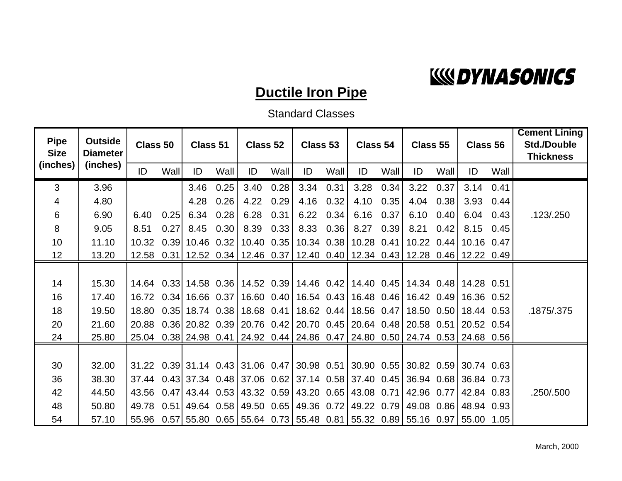

### **Ductile Iron Pipe**

Standard Classes

| <b>Pipe</b><br><b>Size</b> | <b>Outside</b><br><b>Diameter</b> | Class 50 |      | Class 51          |      | Class 52 |      | Class 53                                                                     |      | Class 54 |      | Class 55 |      | Class 56              |      | <b>Cement Lining</b><br><b>Std./Double</b><br><b>Thickness</b> |
|----------------------------|-----------------------------------|----------|------|-------------------|------|----------|------|------------------------------------------------------------------------------|------|----------|------|----------|------|-----------------------|------|----------------------------------------------------------------|
| (inches)                   | (inches)                          | ID       | Wall | ID                | Wall | ID       | Wall | ID                                                                           | Wall | ID       | Wall | ID       | Wall | ID                    | Wall |                                                                |
| 3                          | 3.96                              |          |      | 3.46              | 0.25 | 3.40     | 0.28 | 3.34 0.31                                                                    |      | 3.28     | 0.34 | 3.22     | 0.37 | 3.14                  | 0.41 |                                                                |
| 4                          | 4.80                              |          |      | 4.28              | 0.26 | 4.22     | 0.29 | 4.16                                                                         | 0.32 | 4.10     | 0.35 | 4.04     | 0.38 | 3.93                  | 0.44 |                                                                |
| 6                          | 6.90                              | 6.40     | 0.25 | 6.34              | 0.28 | 6.28     | 0.31 | 6.22                                                                         | 0.34 | 6.16     | 0.37 | 6.10     | 0.40 | 6.04                  | 0.43 | .123/.250                                                      |
| 8                          | 9.05                              | 8.51     | 0.27 | 8.45              | 0.30 | 8.39     | 0.33 | 8.33                                                                         | 0.36 | 8.27     | 0.39 | 8.21     | 0.42 | 8.15                  | 0.45 |                                                                |
| 10 <sup>°</sup>            | 11.10                             | 10.32    |      | $0.39$ 10.46 0.32 |      |          |      | 10.40 0.35 10.34 0.38 10.28 0.41                                             |      |          |      | 10.22    | 0.44 | 10.16 0.47            |      |                                                                |
| 12 <sup>2</sup>            | 13.20                             | 12.58    |      |                   |      |          |      | 0.31 12.52 0.34 12.46 0.37 12.40 0.40 12.34 0.43 12.28 0.46 12.22 0.49       |      |          |      |          |      |                       |      |                                                                |
|                            |                                   |          |      |                   |      |          |      |                                                                              |      |          |      |          |      |                       |      |                                                                |
| 14                         | 15.30                             |          |      |                   |      |          |      | 14.64 0.33 14.58 0.36 14.52 0.39 14.46 0.42 14.40 0.45 14.34 0.48 14.28 0.51 |      |          |      |          |      |                       |      |                                                                |
| 16                         | 17.40                             | 16.72    |      |                   |      |          |      | 0.34 16.66 0.37 16.60 0.40 16.54 0.43 16.48 0.46 16.42 0.49 16.36 0.52       |      |          |      |          |      |                       |      |                                                                |
| 18                         | 19.50                             |          |      |                   |      |          |      | 18.80 0.35 18.74 0.38 18.68 0.41 18.62 0.44 18.56 0.47 18.50 0.50 18.44 0.53 |      |          |      |          |      |                       |      | .1875/.375                                                     |
| 20                         | 21.60                             | 20.88    |      |                   |      |          |      | $0.36$ 20.82 0.39 20.76 0.42 20.70 0.45 20.64 0.48 20.58 0.51                |      |          |      |          |      | 20.52 0.54            |      |                                                                |
| 24                         | 25.80                             |          |      |                   |      |          |      | 25.04 0.38 24.98 0.41 24.92 0.44 24.86 0.47 24.80 0.50 24.74 0.53 24.68 0.56 |      |          |      |          |      |                       |      |                                                                |
|                            |                                   |          |      |                   |      |          |      |                                                                              |      |          |      |          |      |                       |      |                                                                |
| 30                         | 32.00                             |          |      |                   |      |          |      | 31.22 0.39 31.14 0.43 31.06 0.47 30.98 0.51 30.90 0.55 30.82 0.59 30.74 0.63 |      |          |      |          |      |                       |      |                                                                |
| 36                         | 38.30                             | 37.44    |      |                   |      |          |      | $0.43$ 37.34 $0.48$ 37.06 $0.62$ 37.14 $0.58$ 37.40 $0.45$ 36.94 $0.68$      |      |          |      |          |      | 36.84 0.73            |      |                                                                |
| 42                         | 44.50                             |          |      |                   |      |          |      | 43.56 0.47 43.44 0.53 43.32 0.59 43.20 0.65 43.08 0.71 42.96                 |      |          |      |          | 0.77 | 42.84 0.83            |      | .250/.500                                                      |
| 48                         | 50.80                             |          |      |                   |      |          |      | 49.78 0.51 49.64 0.58 49.50 0.65 49.36 0.72 49.22 0.79 49.08                 |      |          |      |          |      | $0.86$   48.94 $0.93$ |      |                                                                |
| 54                         | 57.10                             | 55.96    |      |                   |      |          |      | 0.57 55.80 0.65 55.64 0.73 55.48 0.81 55.32 0.89 55.16 0.97                  |      |          |      |          |      | 55.00 1.05            |      |                                                                |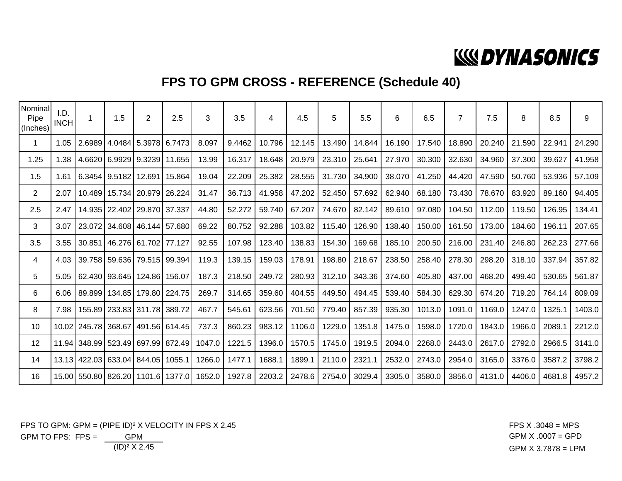## **WOYNASONICS**

### **FPS TO GPM CROSS - REFERENCE (Schedule 40)**

| Nominal<br>Pipe<br>(Inches) | I.D.<br><b>INCH</b> | 1                   | 1.5                               | $\overline{2}$           | 2.5           | 3      | 3.5    | 4      | 4.5    | 5      | 5.5    | 6      | 6.5    | $\overline{7}$ | 7.5    | 8      | 8.5    | 9      |
|-----------------------------|---------------------|---------------------|-----------------------------------|--------------------------|---------------|--------|--------|--------|--------|--------|--------|--------|--------|----------------|--------|--------|--------|--------|
| $\mathbf{1}$                | 1.05                |                     | 2.6989 4.0484                     | 15.3978                  | 6.7473        | 8.097  | 9.4462 | 10.796 | 12.145 | 13.490 | 14.844 | 16.190 | 17.540 | 18.890         | 20.240 | 21.590 | 22.941 | 24.290 |
| 1.25                        | 1.38                |                     | 4.6620 6.9929 9.3239              |                          | 11.655        | 13.99  | 16.317 | 18.648 | 20.979 | 23.310 | 25.641 | 27.970 | 30.300 | 32.630         | 34.960 | 37.300 | 39.627 | 41.958 |
| 1.5                         | 1.61                |                     | 6.3454 9.5182                     |                          | 12.691 15.864 | 19.04  | 22.209 | 25.382 | 28.555 | 31.730 | 34.900 | 38.070 | 41.250 | 44.420         | 47.590 | 50.760 | 53.936 | 57.109 |
| $\overline{2}$              | 2.07                |                     | 10.489   15.734   20.979   26.224 |                          |               | 31.47  | 36.713 | 41.958 | 47.202 | 52.450 | 57.692 | 62.940 | 68.180 | 73.430         | 78.670 | 83.920 | 89.160 | 94.405 |
| 2.5                         | 2.47                |                     | 14.935   22.402   29.870   37.337 |                          |               | 44.80  | 52.272 | 59.740 | 67.207 | 74.670 | 82.142 | 89.610 | 97.080 | 104.50         | 112.00 | 119.50 | 126.95 | 134.41 |
| 3                           | 3.07                |                     | 23.072 34.608 46.144 57.680       |                          |               | 69.22  | 80.752 | 92.288 | 103.82 | 115.40 | 126.90 | 138.40 | 150.00 | 161.50         | 173.00 | 184.60 | 196.11 | 207.65 |
| 3.5                         | 3.55                |                     | 30.851 46.276 61.702              |                          | 77.127        | 92.55  | 107.98 | 123.40 | 138.83 | 154.30 | 169.68 | 185.10 | 200.50 | 216.00         | 231.40 | 246.80 | 262.23 | 277.66 |
| 4                           | 4.03                |                     | 39.758 59.636 79.515 99.394       |                          |               | 119.3  | 139.15 | 159.03 | 178.91 | 198.80 | 218.67 | 238.50 | 258.40 | 278.30         | 298.20 | 318.10 | 337.94 | 357.82 |
| 5                           | 5.05                |                     | 62.430 93.645                     | 124.86 156.07            |               | 187.3  | 218.50 | 249.72 | 280.93 | 312.10 | 343.36 | 374.60 | 405.80 | 437.00         | 468.20 | 499.40 | 530.65 | 561.87 |
| 6                           | 6.06                | 89.899              |                                   | 134.85   179.80   224.75 |               | 269.7  | 314.65 | 359.60 | 404.55 | 449.50 | 494.45 | 539.40 | 584.30 | 629.30         | 674.20 | 719.20 | 764.14 | 809.09 |
| 8                           | 7.98                |                     | 155.89 233.83 311.78 389.72       |                          |               | 467.7  | 545.61 | 623.56 | 701.50 | 779.40 | 857.39 | 935.30 | 1013.0 | 1091.0         | 1169.0 | 1247.0 | 1325.1 | 1403.0 |
| 10                          |                     | 10.02 245.78 368.67 |                                   |                          | 491.56 614.45 | 737.3  | 860.23 | 983.12 | 1106.0 | 1229.0 | 1351.8 | 1475.0 | 1598.0 | 1720.0         | 1843.0 | 1966.0 | 2089.1 | 2212.0 |
| 12                          |                     |                     | 11.94 348.99 523.49 697.99 872.49 |                          |               | 1047.0 | 1221.5 | 1396.0 | 1570.5 | 1745.0 | 1919.5 | 2094.0 | 2268.0 | 2443.0         | 2617.0 | 2792.0 | 2966.5 | 3141.0 |
| 14                          |                     |                     | 13.13 422.03 633.04 844.05 1055.1 |                          |               | 1266.0 | 1477.1 | 1688.1 | 1899.1 | 2110.0 | 2321.1 | 2532.0 | 2743.0 | 2954.0         | 3165.0 | 3376.0 | 3587.2 | 3798.2 |
| 16                          |                     |                     | 15.00 550.80 826.20 1101.6 1377.0 |                          |               | 1652.0 | 1927.8 | 2203.2 | 2478.6 | 2754.0 | 3029.4 | 3305.0 | 3580.0 | 3856.0         | 4131.0 | 4406.0 | 4681.8 | 4957.2 |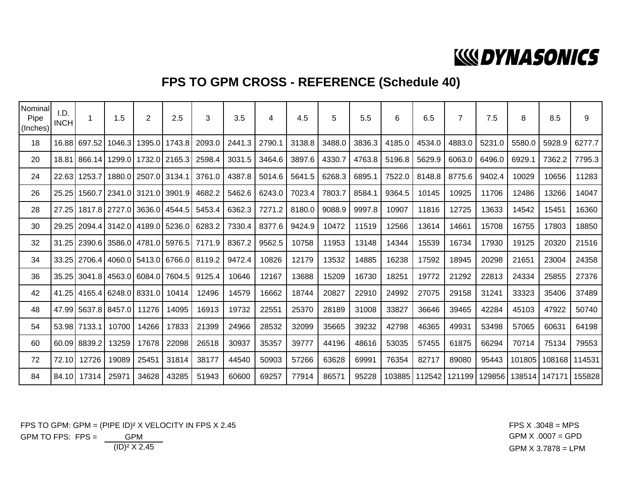## **WOYNASONICS**

### **FPS TO GPM CROSS - REFERENCE (Schedule 40)**

| Nominal<br>Pipe<br>(Inches) | I.D.<br><b>INCH</b> | $\mathbf 1$  | 1.5    | $\overline{2}$       | 2.5           | 3      | 3.5    | 4      | 4.5    | 5      | 5.5    | 6      | 6.5    | $\overline{7}$ | 7.5    | 8      | 8.5    | 9             |
|-----------------------------|---------------------|--------------|--------|----------------------|---------------|--------|--------|--------|--------|--------|--------|--------|--------|----------------|--------|--------|--------|---------------|
| 18                          | 16.88               | 697.52       | 1046.3 | 1395.0               | 1743.8        | 2093.0 | 2441.3 | 2790.1 | 3138.8 | 3488.0 | 3836.3 | 4185.0 | 4534.0 | 4883.0         | 5231.0 | 5580.C | 5928.9 | 6277.7        |
| 20                          | 18.81               | 866.14       | 1299.0 |                      | 1732.0 2165.3 | 2598.4 | 3031.5 | 3464.6 | 3897.6 | 4330.7 | 4763.8 | 5196.8 | 5629.9 | 6063.0         | 6496.0 | 6929.1 | 7362.2 | 7795.3        |
| 24                          | 22.63               | 1253.7       |        | 1880.0 2507.0 3134.1 |               | 3761.0 | 4387.8 | 5014.6 | 5641.5 | 6268.3 | 6895.1 | 7522.0 | 8148.8 | 8775.6         | 9402.4 | 10029  | 10656  | 11283         |
| 26                          | 25.25               | 1560.7       |        | 2341.0 3121.0        | 3901.9        | 4682.2 | 5462.6 | 6243.0 | 7023.4 | 7803.7 | 8584.1 | 9364.5 | 10145  | 10925          | 11706  | 12486  | 13266  | 14047         |
| 28                          | 27.25               | 1817.8       | 2727.0 | 3636.0               | 4544.5        | 5453.4 | 6362.3 | 7271.2 | 8180.0 | 9088.9 | 9997.8 | 10907  | 11816  | 12725          | 13633  | 14542  | 15451  | 16360         |
| 30                          |                     | 29.25 2094.4 | 3142.0 |                      | 4189.0 5236.0 | 6283.2 | 7330.4 | 8377.6 | 9424.9 | 10472  | 11519  | 12566  | 13614  | 14661          | 15708  | 16755  | 17803  | 18850         |
| 32                          | 31.25               | 2390.6       |        | 3586.0 4781.0        | 5976.5        | 7171.9 | 8367.2 | 9562.5 | 10758  | 11953  | 13148  | 14344  | 15539  | 16734          | 17930  | 19125  | 20320  | 21516         |
| 34                          |                     | 33.25 2706.4 |        | 4060.0 5413.0 6766.0 |               | 8119.2 | 9472.4 | 10826  | 12179  | 13532  | 14885  | 16238  | 17592  | 18945          | 20298  | 21651  | 23004  | 24358         |
| 36                          | 35.25               | 3041.8       |        | 4563.0 6084.0        | 7604.5        | 9125.4 | 10646  | 12167  | 13688  | 15209  | 16730  | 18251  | 19772  | 21292          | 22813  | 24334  | 25855  | 27376         |
| 42                          | 41.25               | 4165.4       |        | 6248.0 8331.0        | 10414         | 12496  | 14579  | 16662  | 18744  | 20827  | 22910  | 24992  | 27075  | 29158          | 31241  | 33323  | 35406  | 37489         |
| 48                          |                     | 47.99 5637.8 | 8457.0 | 11276                | 14095         | 16913  | 19732  | 22551  | 25370  | 28189  | 31008  | 33827  | 36646  | 39465          | 42284  | 45103  | 47922  | 50740         |
| 54                          |                     | 53.98 7133.1 | 10700  | 14266                | 17833         | 21399  | 24966  | 28532  | 32099  | 35665  | 39232  | 42798  | 46365  | 49931          | 53498  | 57065  | 60631  | 64198         |
| 60                          | 60.09               | 8839.2       | 13259  | 17678                | 22098         | 26518  | 30937  | 35357  | 39777  | 44196  | 48616  | 53035  | 57455  | 61875          | 66294  | 70714  | 75134  | 79553         |
| 72                          | 72.10               | 12726        | 19089  | 25451                | 31814         | 38177  | 44540  | 50903  | 57266  | 63628  | 69991  | 76354  | 82717  | 89080          | 95443  | 101805 |        | 108168 114531 |
| 84                          | 84.10               | 17314        | 2597   | 34628                | 43285         | 51943  | 60600  | 69257  | 77914  | 86571  | 95228  | 103885 | 112542 | 121199         | 129856 | 138514 | 147171 | 155828        |

(ID)² X 2.45 GPM X 3.7878 = LPM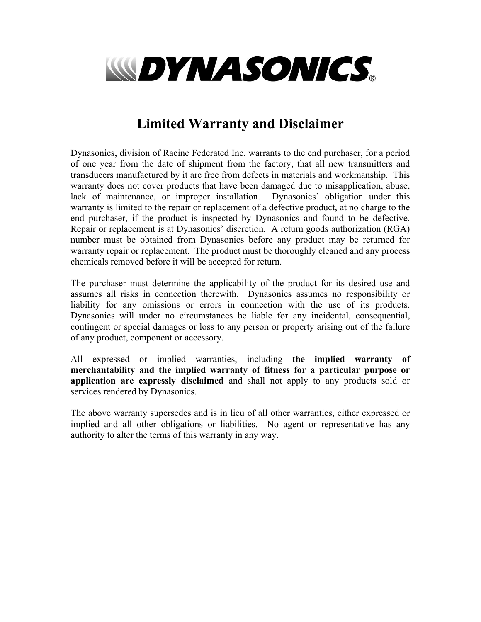

### **Limited Warranty and Disclaimer**

Dynasonics, division of Racine Federated Inc. warrants to the end purchaser, for a period of one year from the date of shipment from the factory, that all new transmitters and transducers manufactured by it are free from defects in materials and workmanship. This warranty does not cover products that have been damaged due to misapplication, abuse, lack of maintenance, or improper installation. Dynasonics' obligation under this warranty is limited to the repair or replacement of a defective product, at no charge to the end purchaser, if the product is inspected by Dynasonics and found to be defective. Repair or replacement is at Dynasonics' discretion. A return goods authorization (RGA) number must be obtained from Dynasonics before any product may be returned for warranty repair or replacement. The product must be thoroughly cleaned and any process chemicals removed before it will be accepted for return.

The purchaser must determine the applicability of the product for its desired use and assumes all risks in connection therewith. Dynasonics assumes no responsibility or liability for any omissions or errors in connection with the use of its products. Dynasonics will under no circumstances be liable for any incidental, consequential, contingent or special damages or loss to any person or property arising out of the failure of any product, component or accessory.

All expressed or implied warranties, including **the implied warranty of merchantability and the implied warranty of fitness for a particular purpose or application are expressly disclaimed** and shall not apply to any products sold or services rendered by Dynasonics.

The above warranty supersedes and is in lieu of all other warranties, either expressed or implied and all other obligations or liabilities. No agent or representative has any authority to alter the terms of this warranty in any way.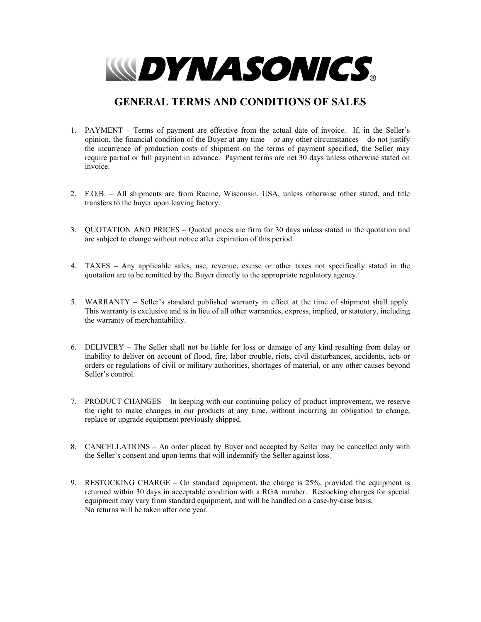

#### **GENERAL TERMS AND CONDITIONS OF SALES**

- 1. PAYMENT Terms of payment are effective from the actual date of invoice. If, in the Seller's opinion, the financial condition of the Buyer at any time – or any other circumstances – do not justify the incurrence of production costs of shipment on the terms of payment specified, the Seller may require partial or full payment in advance. Payment terms are net 30 days unless otherwise stated on invoice.
- 2. F.O.B. All shipments are from Racine, Wisconsin, USA, unless otherwise other stated, and title transfers to the buyer upon leaving factory.
- 3. QUOTATION AND PRICES Quoted prices are firm for 30 days unless stated in the quotation and are subject to change without notice after expiration of this period.
- 4. TAXES Any applicable sales, use, revenue, excise or other taxes not specifically stated in the quotation are to be remitted by the Buyer directly to the appropriate regulatory agency.
- 5. WARRANTY Seller's standard published warranty in effect at the time of shipment shall apply. This warranty is exclusive and is in lieu of all other warranties, express, implied, or statutory, including the warranty of merchantability.
- 6. DELIVERY The Seller shall not be liable for loss or damage of any kind resulting from delay or inability to deliver on account of flood, fire, labor trouble, riots, civil disturbances, accidents, acts or orders or regulations of civil or military authorities, shortages of material, or any other causes beyond Seller's control.
- 7. PRODUCT CHANGES In keeping with our continuing policy of product improvement, we reserve the right to make changes in our products at any time, without incurring an obligation to change, replace or upgrade equipment previously shipped.
- 8. CANCELLATIONS An order placed by Buyer and accepted by Seller may be cancelled only with the Seller's consent and upon terms that will indemnify the Seller against loss.
- 9. RESTOCKING CHARGE On standard equipment, the charge is 25%, provided the equipment is returned within 30 days in acceptable condition with a RGA number. Restocking charges for special equipment may vary from standard equipment, and will be handled on a case-by-case basis. No returns will be taken after one year.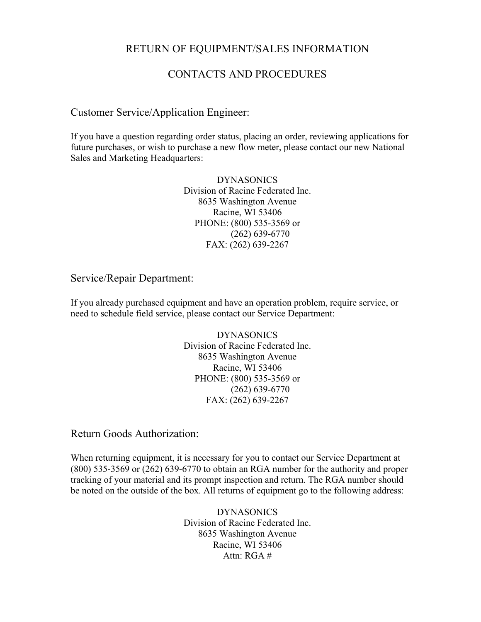#### RETURN OF EQUIPMENT/SALES INFORMATION

#### CONTACTS AND PROCEDURES

#### Customer Service/Application Engineer:

If you have a question regarding order status, placing an order, reviewing applications for future purchases, or wish to purchase a new flow meter, please contact our new National Sales and Marketing Headquarters:

> DYNASONICS Division of Racine Federated Inc. 8635 Washington Avenue Racine, WI 53406 PHONE: (800) 535-3569 or (262) 639-6770 FAX: (262) 639-2267

#### Service/Repair Department:

If you already purchased equipment and have an operation problem, require service, or need to schedule field service, please contact our Service Department:

> DYNASONICS Division of Racine Federated Inc. 8635 Washington Avenue Racine, WI 53406 PHONE: (800) 535-3569 or (262) 639-6770 FAX: (262) 639-2267

Return Goods Authorization:

When returning equipment, it is necessary for you to contact our Service Department at (800) 535-3569 or (262) 639-6770 to obtain an RGA number for the authority and proper tracking of your material and its prompt inspection and return. The RGA number should be noted on the outside of the box. All returns of equipment go to the following address:

> DYNASONICS Division of Racine Federated Inc. 8635 Washington Avenue Racine, WI 53406 Attn:  $RGA \#$